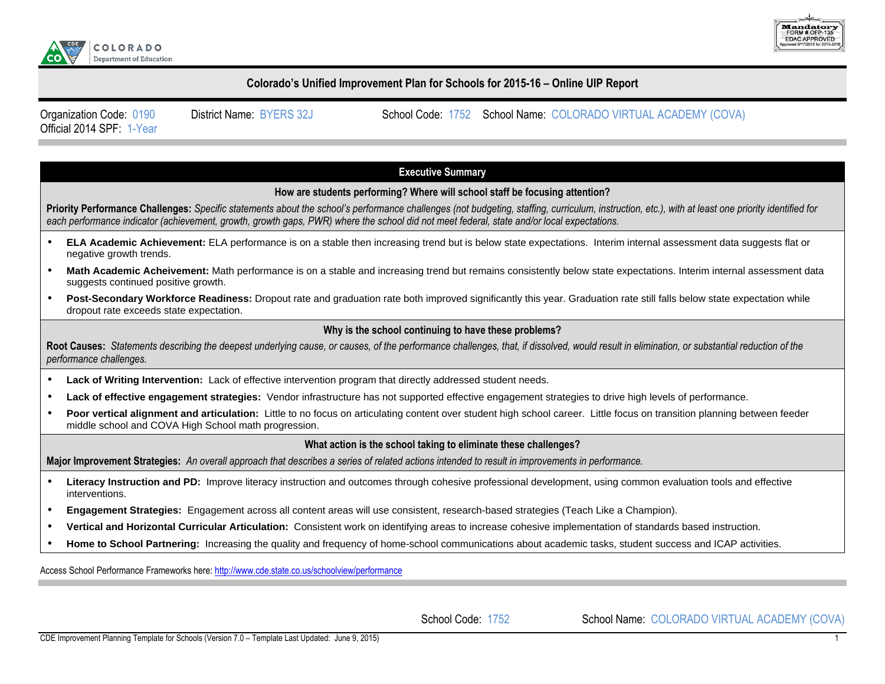

**COL** 



## **Colorado's Unified Improvement Plan for Schools for 2015-16 – Online UIP Report**

| <b>Executive Summary</b><br>How are students performing? Where will school staff be focusing attention?<br>Priority Performance Challenges: Specific statements about the school's performance challenges (not budgeting, staffing, curriculum, instruction, etc.), with at least one priority identified for<br>each performance indicator (achievement, growth, growth gaps, PWR) where the school did not meet federal, state and/or local expectations.<br>ELA Academic Achievement: ELA performance is on a stable then increasing trend but is below state expectations. Interim internal assessment data suggests flat or<br>$\bullet$<br>negative growth trends.<br>Math Academic Acheivement: Math performance is on a stable and increasing trend but remains consistently below state expectations. Interim internal assessment data<br>$\bullet$<br>suggests continued positive growth.<br>Post-Secondary Workforce Readiness: Dropout rate and graduation rate both improved significantly this year. Graduation rate still falls below state expectation while |
|------------------------------------------------------------------------------------------------------------------------------------------------------------------------------------------------------------------------------------------------------------------------------------------------------------------------------------------------------------------------------------------------------------------------------------------------------------------------------------------------------------------------------------------------------------------------------------------------------------------------------------------------------------------------------------------------------------------------------------------------------------------------------------------------------------------------------------------------------------------------------------------------------------------------------------------------------------------------------------------------------------------------------------------------------------------------------|
|                                                                                                                                                                                                                                                                                                                                                                                                                                                                                                                                                                                                                                                                                                                                                                                                                                                                                                                                                                                                                                                                              |
|                                                                                                                                                                                                                                                                                                                                                                                                                                                                                                                                                                                                                                                                                                                                                                                                                                                                                                                                                                                                                                                                              |
|                                                                                                                                                                                                                                                                                                                                                                                                                                                                                                                                                                                                                                                                                                                                                                                                                                                                                                                                                                                                                                                                              |
|                                                                                                                                                                                                                                                                                                                                                                                                                                                                                                                                                                                                                                                                                                                                                                                                                                                                                                                                                                                                                                                                              |
|                                                                                                                                                                                                                                                                                                                                                                                                                                                                                                                                                                                                                                                                                                                                                                                                                                                                                                                                                                                                                                                                              |
| dropout rate exceeds state expectation.                                                                                                                                                                                                                                                                                                                                                                                                                                                                                                                                                                                                                                                                                                                                                                                                                                                                                                                                                                                                                                      |
| Why is the school continuing to have these problems?                                                                                                                                                                                                                                                                                                                                                                                                                                                                                                                                                                                                                                                                                                                                                                                                                                                                                                                                                                                                                         |
| Root Causes: Statements describing the deepest underlying cause, or causes, of the performance challenges, that, if dissolved, would result in elimination, or substantial reduction of the<br>performance challenges.                                                                                                                                                                                                                                                                                                                                                                                                                                                                                                                                                                                                                                                                                                                                                                                                                                                       |
| Lack of Writing Intervention: Lack of effective intervention program that directly addressed student needs.<br>$\bullet$                                                                                                                                                                                                                                                                                                                                                                                                                                                                                                                                                                                                                                                                                                                                                                                                                                                                                                                                                     |
| Lack of effective engagement strategies: Vendor infrastructure has not supported effective engagement strategies to drive high levels of performance.<br>$\bullet$                                                                                                                                                                                                                                                                                                                                                                                                                                                                                                                                                                                                                                                                                                                                                                                                                                                                                                           |
| Poor vertical alignment and articulation: Little to no focus on articulating content over student high school career. Little focus on transition planning between feeder<br>$\bullet$<br>middle school and COVA High School math progression.                                                                                                                                                                                                                                                                                                                                                                                                                                                                                                                                                                                                                                                                                                                                                                                                                                |
| What action is the school taking to eliminate these challenges?                                                                                                                                                                                                                                                                                                                                                                                                                                                                                                                                                                                                                                                                                                                                                                                                                                                                                                                                                                                                              |
| Major Improvement Strategies: An overall approach that describes a series of related actions intended to result in improvements in performance.                                                                                                                                                                                                                                                                                                                                                                                                                                                                                                                                                                                                                                                                                                                                                                                                                                                                                                                              |
| Literacy Instruction and PD: Improve literacy instruction and outcomes through cohesive professional development, using common evaluation tools and effective<br>interventions.                                                                                                                                                                                                                                                                                                                                                                                                                                                                                                                                                                                                                                                                                                                                                                                                                                                                                              |
| Engagement Strategies: Engagement across all content areas will use consistent, research-based strategies (Teach Like a Champion).                                                                                                                                                                                                                                                                                                                                                                                                                                                                                                                                                                                                                                                                                                                                                                                                                                                                                                                                           |
| Vertical and Horizontal Curricular Articulation: Consistent work on identifying areas to increase cohesive implementation of standards based instruction.                                                                                                                                                                                                                                                                                                                                                                                                                                                                                                                                                                                                                                                                                                                                                                                                                                                                                                                    |
| Home to School Partnering: Increasing the quality and frequency of home-school communications about academic tasks, student success and ICAP activities.                                                                                                                                                                                                                                                                                                                                                                                                                                                                                                                                                                                                                                                                                                                                                                                                                                                                                                                     |

Access School Performance Frameworks here: <http://www.cde.state.co.us/schoolview/performance>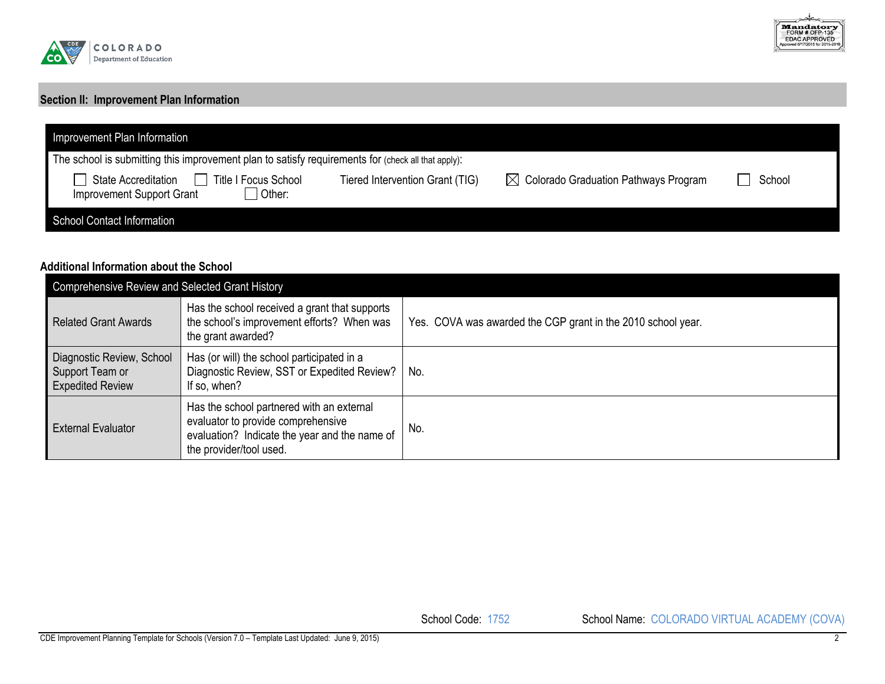



# **Section II: Improvement Plan Information**

| Improvement Plan Information                                                                       |                                 |                                                  |        |
|----------------------------------------------------------------------------------------------------|---------------------------------|--------------------------------------------------|--------|
| The school is submitting this improvement plan to satisfy requirements for (check all that apply): |                                 |                                                  |        |
| <b>State Accreditation</b><br>Title I Focus School<br><b>Improvement Support Grant</b><br>Other:   | Tiered Intervention Grant (TIG) | $\boxtimes$ Colorado Graduation Pathways Program | School |
| School Contact Information                                                                         |                                 |                                                  |        |

#### **Additional Information about the School**

| Comprehensive Review and Selected Grant History                         |                                                                                                                                                             |                                                              |  |
|-------------------------------------------------------------------------|-------------------------------------------------------------------------------------------------------------------------------------------------------------|--------------------------------------------------------------|--|
| <b>Related Grant Awards</b>                                             | Has the school received a grant that supports<br>the school's improvement efforts? When was<br>the grant awarded?                                           | Yes. COVA was awarded the CGP grant in the 2010 school year. |  |
| Diagnostic Review, School<br>Support Team or<br><b>Expedited Review</b> | Has (or will) the school participated in a<br>Diagnostic Review, SST or Expedited Review?<br>If so, when?                                                   | No.                                                          |  |
| <b>External Evaluator</b>                                               | Has the school partnered with an external<br>evaluator to provide comprehensive<br>evaluation? Indicate the year and the name of<br>the provider/tool used. | No.                                                          |  |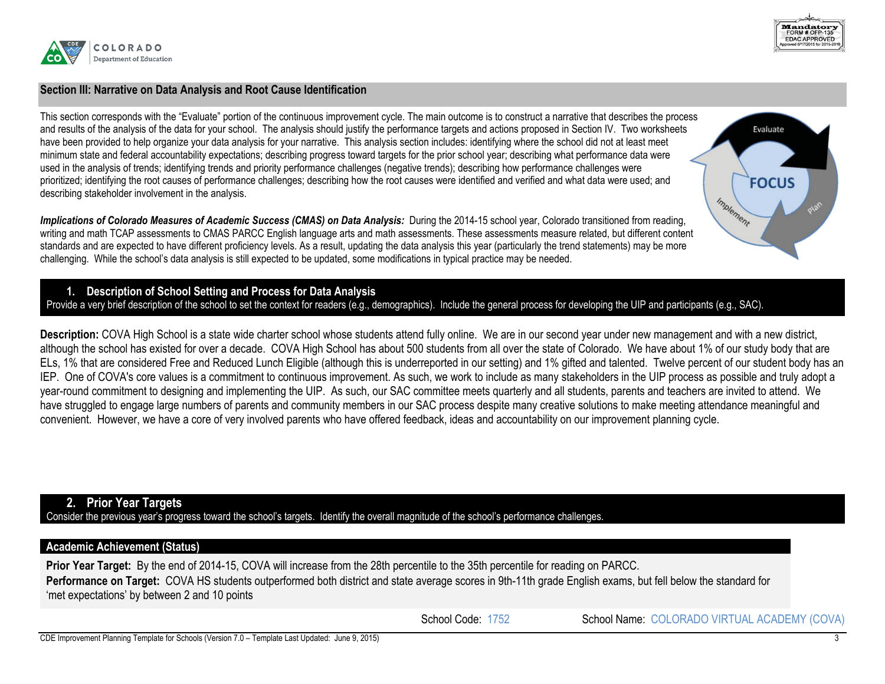



#### **Section III: Narrative on Data Analysis and Root Cause Identification**

This section corresponds with the "Evaluate" portion of the continuous improvement cycle. The main outcome is to construct a narrative that describes the process and results of the analysis of the data for your school. The analysis should justify the performance targets and actions proposed in Section IV. Two worksheets have been provided to help organize your data analysis for your narrative. This analysis section includes: identifying where the school did not at least meet minimum state and federal accountability expectations; describing progress toward targets for the prior school year; describing what performance data were used in the analysis of trends; identifying trends and priority performance challenges (negative trends); describing how performance challenges were prioritized; identifying the root causes of performance challenges; describing how the root causes were identified and verified and what data were used; and describing stakeholder involvement in the analysis.

*Implications of Colorado Measures of Academic Success (CMAS) on Data Analysis:* During the 2014-15 school year, Colorado transitioned from reading, writing and math TCAP assessments to CMAS PARCC English language arts and math assessments. These assessments measure related, but different content standards and are expected to have different proficiency levels. As a result, updating the data analysis this year (particularly the trend statements) may be more challenging. While the school's data analysis is still expected to be updated, some modifications in typical practice may be needed.

#### **1. Description of School Setting and Process for Data Analysis**

Provide a very brief description of the school to set the context for readers (e.g., demographics). Include the general process for developing the UIP and participants (e.g., SAC).

**Description:** COVA High School is a state wide charter school whose students attend fully online. We are in our second year under new management and with a new district, although the school has existed for over a decade. COVA High School has about 500 students from all over the state of Colorado. We have about 1% of our study body that are ELs, 1% that are considered Free and Reduced Lunch Eligible (although this is underreported in our setting) and 1% gifted and talented. Twelve percent of our student body has an IEP. One of COVA's core values is a commitment to continuous improvement. As such, we work to include as many stakeholders in the UIP process as possible and truly adopt a year-round commitment to designing and implementing the UIP. As such, our SAC committee meets quarterly and all students, parents and teachers are invited to attend. We have struggled to engage large numbers of parents and community members in our SAC process despite many creative solutions to make meeting attendance meaningful and convenient. However, we have a core of very involved parents who have offered feedback, ideas and accountability on our improvement planning cycle.

#### **2. Prior Year Targets**

Consider the previous year's progress toward the school's targets. Identify the overall magnitude of the school's performance challenges.

#### **Academic Achievement (Status)**

**Prior Year Target:** By the end of 2014-15, COVA will increase from the 28th percentile to the 35th percentile for reading on PARCC. **Performance on Target:** COVA HS students outperformed both district and state average scores in 9th-11th grade English exams, but fell below the standard for 'met expectations' by between 2 and 10 points

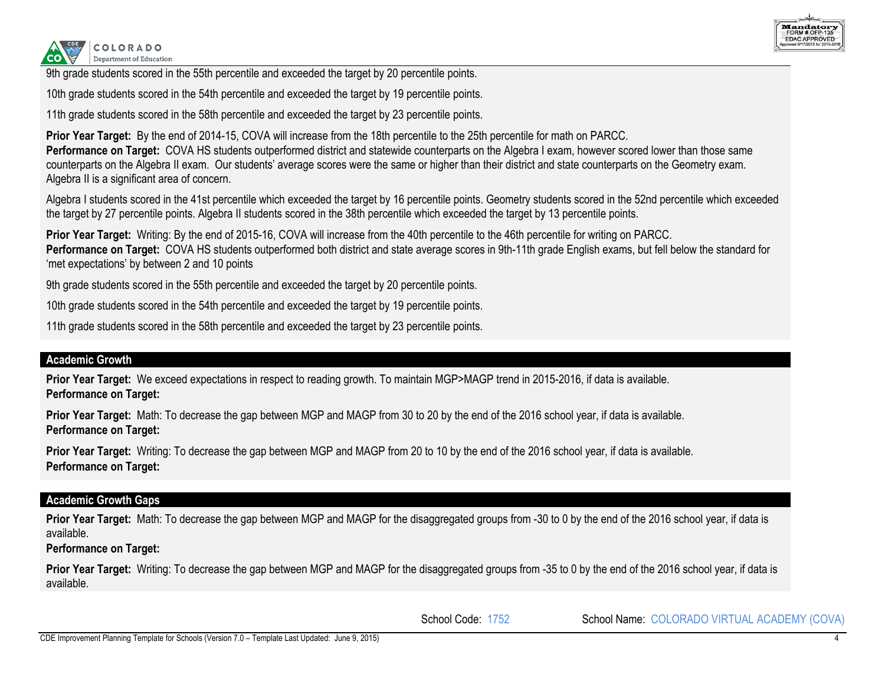



9th grade students scored in the 55th percentile and exceeded the target by 20 percentile points.

10th grade students scored in the 54th percentile and exceeded the target by 19 percentile points.

11th grade students scored in the 58th percentile and exceeded the target by 23 percentile points.

**Prior Year Target:** By the end of 2014-15, COVA will increase from the 18th percentile to the 25th percentile for math on PARCC.

**Performance on Target:** COVA HS students outperformed district and statewide counterparts on the Algebra I exam, however scored lower than those same counterparts on the Algebra II exam. Our students' average scores were the same or higher than their district and state counterparts on the Geometry exam. Algebra II is a significant area of concern.

Algebra I students scored in the 41st percentile which exceeded the target by 16 percentile points. Geometry students scored in the 52nd percentile which exceeded the target by 27 percentile points. Algebra II students scored in the 38th percentile which exceeded the target by 13 percentile points.

**Prior Year Target:** Writing: By the end of 2015-16, COVA will increase from the 40th percentile to the 46th percentile for writing on PARCC. **Performance on Target:** COVA HS students outperformed both district and state average scores in 9th-11th grade English exams, but fell below the standard for 'met expectations' by between 2 and 10 points

9th grade students scored in the 55th percentile and exceeded the target by 20 percentile points.

10th grade students scored in the 54th percentile and exceeded the target by 19 percentile points.

11th grade students scored in the 58th percentile and exceeded the target by 23 percentile points.

#### **Academic Growth**

**Prior Year Target:** We exceed expectations in respect to reading growth. To maintain MGP>MAGP trend in 2015-2016, if data is available. **Performance on Target:**

**Prior Year Target:** Math: To decrease the gap between MGP and MAGP from 30 to 20 by the end of the 2016 school year, if data is available. **Performance on Target:**

**Prior Year Target:** Writing: To decrease the gap between MGP and MAGP from 20 to 10 by the end of the 2016 school year, if data is available. **Performance on Target:**

# **Academic Growth Gaps**

**Prior Year Target:** Math: To decrease the gap between MGP and MAGP for the disaggregated groups from -30 to 0 by the end of the 2016 school year, if data is available.

# **Performance on Target:**

**Prior Year Target:** Writing: To decrease the gap between MGP and MAGP for the disaggregated groups from -35 to 0 by the end of the 2016 school year, if data is available.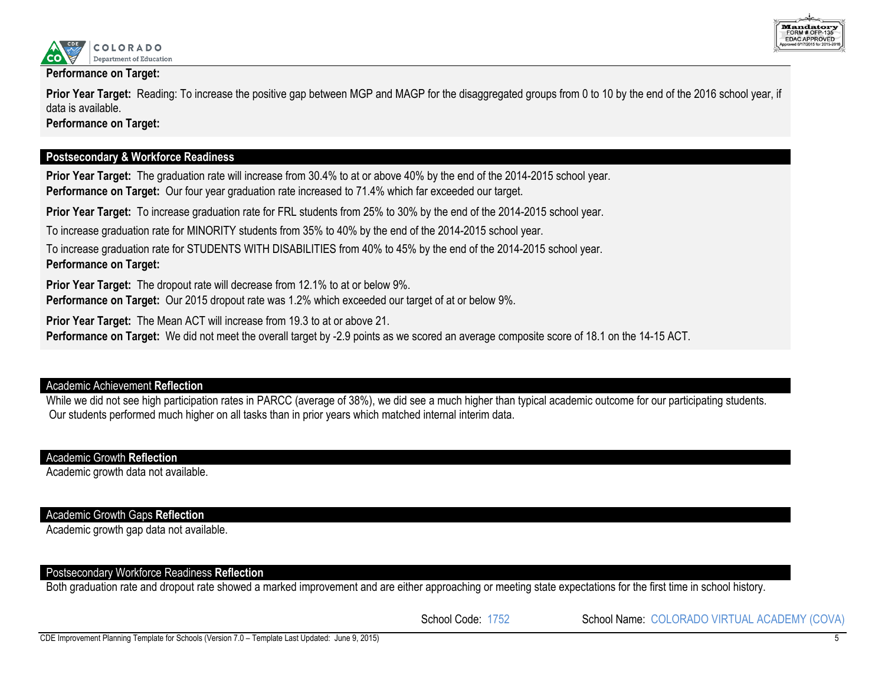



**Performance on Target:**

**Prior Year Target:** Reading: To increase the positive gap between MGP and MAGP for the disaggregated groups from 0 to 10 by the end of the 2016 school year, if data is available.

**Performance on Target:**

#### **Postsecondary & Workforce Readiness**

**Prior Year Target:** The graduation rate will increase from 30.4% to at or above 40% by the end of the 2014-2015 school year. **Performance on Target:** Our four year graduation rate increased to 71.4% which far exceeded our target.

**Prior Year Target:** To increase graduation rate for FRL students from 25% to 30% by the end of the 2014-2015 school year.

To increase graduation rate for MINORITY students from 35% to 40% by the end of the 2014-2015 school year.

To increase graduation rate for STUDENTS WITH DISABILITIES from 40% to 45% by the end of the 2014-2015 school year. **Performance on Target:**

**Prior Year Target:** The dropout rate will decrease from 12.1% to at or below 9%.

**Performance on Target:** Our 2015 dropout rate was 1.2% which exceeded our target of at or below 9%.

**Prior Year Target:** The Mean ACT will increase from 19.3 to at or above 21.

**Performance on Target:** We did not meet the overall target by -2.9 points as we scored an average composite score of 18.1 on the 14-15 ACT.

#### Academic Achievement **Reflection**

While we did not see high participation rates in PARCC (average of 38%), we did see a much higher than typical academic outcome for our participating students. Our students performed much higher on all tasks than in prior years which matched internal interim data.

#### Academic Growth **Reflection**

Academic growth data not available.

#### Academic Growth Gaps **Reflection**

Academic growth gap data not available.

#### Postsecondary Workforce Readiness **Reflection**

Both graduation rate and dropout rate showed a marked improvement and are either approaching or meeting state expectations for the first time in school history.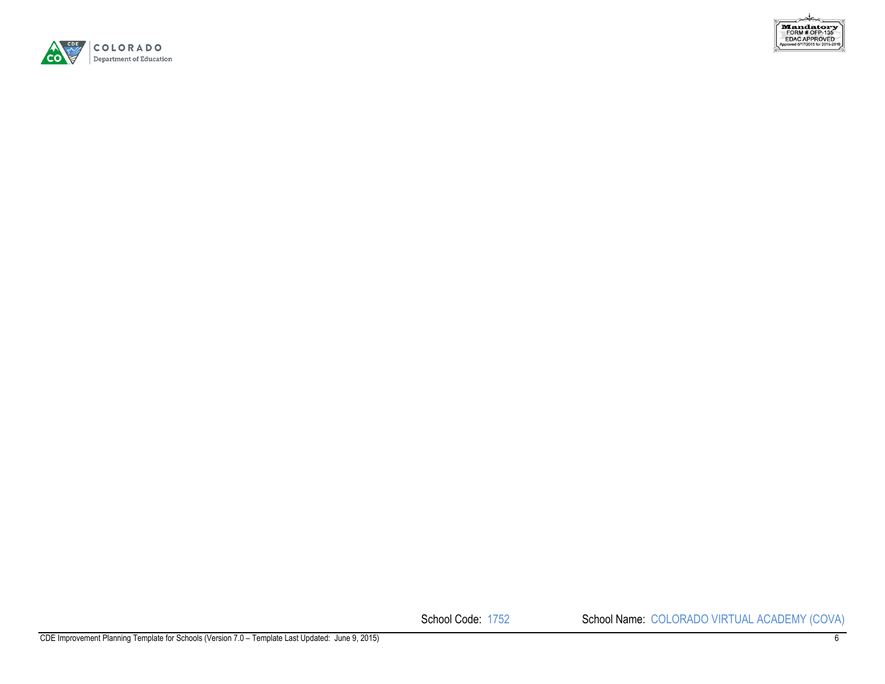

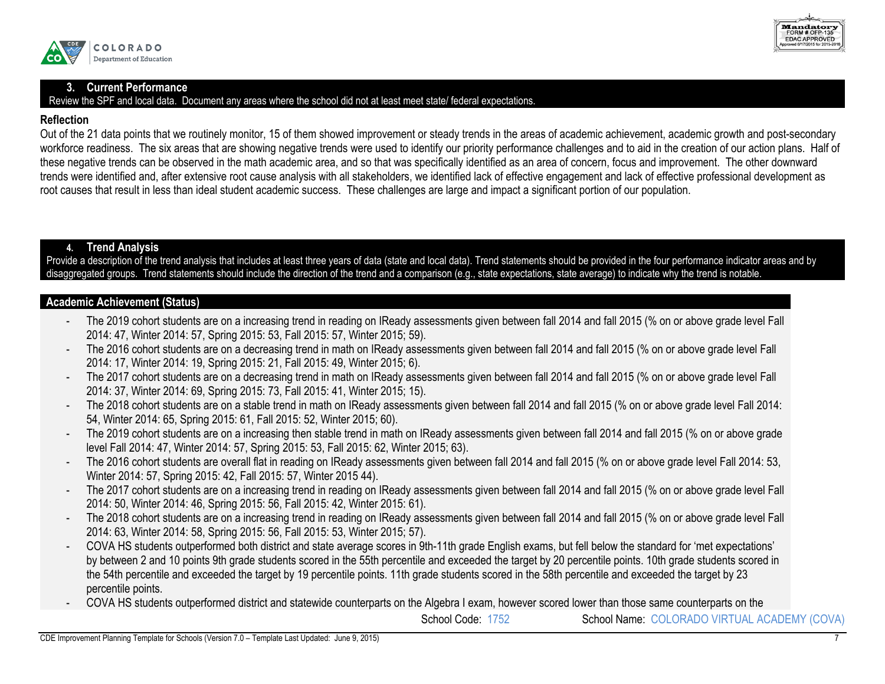



### **3. Current Performance**

Review the SPF and local data. Document any areas where the school did not at least meet state/ federal expectations.

#### **Reflection**

Out of the 21 data points that we routinely monitor, 15 of them showed improvement or steady trends in the areas of academic achievement, academic growth and post-secondary workforce readiness. The six areas that are showing negative trends were used to identify our priority performance challenges and to aid in the creation of our action plans. Half of these negative trends can be observed in the math academic area, and so that was specifically identified as an area of concern, focus and improvement. The other downward trends were identified and, after extensive root cause analysis with all stakeholders, we identified lack of effective engagement and lack of effective professional development as root causes that result in less than ideal student academic success. These challenges are large and impact a significant portion of our population.

#### **4. Trend Analysis**

Provide a description of the trend analysis that includes at least three years of data (state and local data). Trend statements should be provided in the four performance indicator areas and by disaggregated groups. Trend statements should include the direction of the trend and a comparison (e.g., state expectations, state average) to indicate why the trend is notable.

### **Academic Achievement (Status)**

- The 2019 cohort students are on a increasing trend in reading on IReady assessments given between fall 2014 and fall 2015 (% on or above grade level Fall 2014: 47, Winter 2014: 57, Spring 2015: 53, Fall 2015: 57, Winter 2015; 59).
- The 2016 cohort students are on a decreasing trend in math on IReady assessments given between fall 2014 and fall 2015 (% on or above grade level Fall 2014: 17, Winter 2014: 19, Spring 2015: 21, Fall 2015: 49, Winter 2015; 6).
- The 2017 cohort students are on a decreasing trend in math on IReady assessments given between fall 2014 and fall 2015 (% on or above grade level Fall 2014: 37, Winter 2014: 69, Spring 2015: 73, Fall 2015: 41, Winter 2015; 15).
- The 2018 cohort students are on a stable trend in math on IReady assessments given between fall 2014 and fall 2015 (% on or above grade level Fall 2014: 54, Winter 2014: 65, Spring 2015: 61, Fall 2015: 52, Winter 2015; 60).
- The 2019 cohort students are on a increasing then stable trend in math on IReady assessments given between fall 2014 and fall 2015 (% on or above grade level Fall 2014: 47, Winter 2014: 57, Spring 2015: 53, Fall 2015: 62, Winter 2015; 63).
- The 2016 cohort students are overall flat in reading on IReady assessments given between fall 2014 and fall 2015 (% on or above grade level Fall 2014: 53, Winter 2014: 57, Spring 2015: 42, Fall 2015: 57, Winter 2015 44).
- The 2017 cohort students are on a increasing trend in reading on IReady assessments given between fall 2014 and fall 2015 (% on or above grade level Fall 2014: 50, Winter 2014: 46, Spring 2015: 56, Fall 2015: 42, Winter 2015: 61).
- The 2018 cohort students are on a increasing trend in reading on IReady assessments given between fall 2014 and fall 2015 (% on or above grade level Fall 2014: 63, Winter 2014: 58, Spring 2015: 56, Fall 2015: 53, Winter 2015; 57).
- COVA HS students outperformed both district and state average scores in 9th-11th grade English exams, but fell below the standard for 'met expectations' by between 2 and 10 points 9th grade students scored in the 55th percentile and exceeded the target by 20 percentile points. 10th grade students scored in the 54th percentile and exceeded the target by 19 percentile points. 11th grade students scored in the 58th percentile and exceeded the target by 23 percentile points.
- COVA HS students outperformed district and statewide counterparts on the Algebra I exam, however scored lower than those same counterparts on the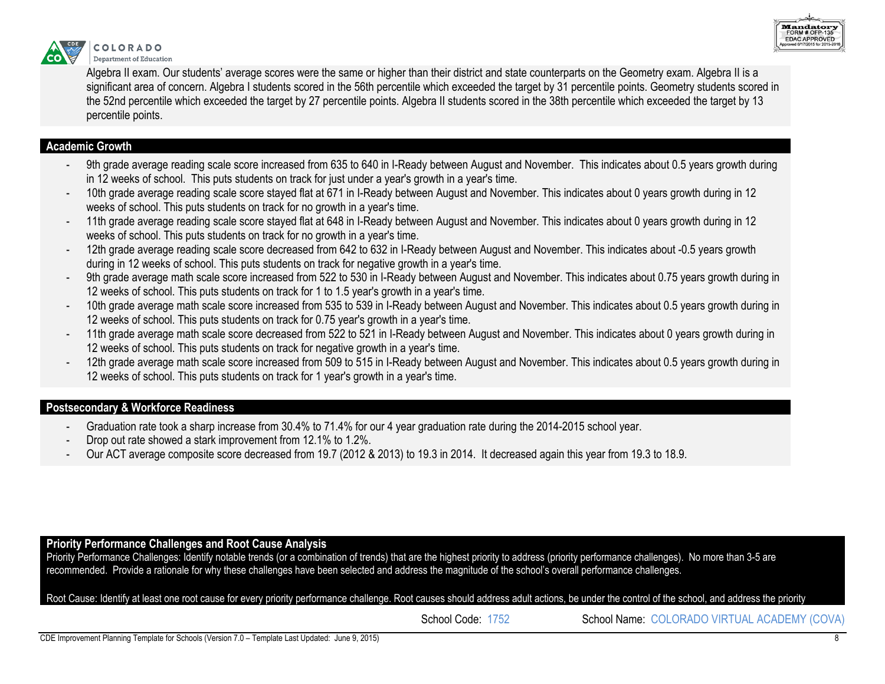



Algebra II exam. Our students' average scores were the same or higher than their district and state counterparts on the Geometry exam. Algebra II is a significant area of concern. Algebra I students scored in the 56th percentile which exceeded the target by 31 percentile points. Geometry students scored in the 52nd percentile which exceeded the target by 27 percentile points. Algebra II students scored in the 38th percentile which exceeded the target by 13 percentile points.

#### **Academic Growth**

- 9th grade average reading scale score increased from 635 to 640 in I-Ready between August and November. This indicates about 0.5 years growth during in 12 weeks of school. This puts students on track for just under a year's growth in a year's time.
- 10th grade average reading scale score stayed flat at 671 in I-Ready between August and November. This indicates about 0 years growth during in 12 weeks of school. This puts students on track for no growth in a year's time.
- 11th grade average reading scale score stayed flat at 648 in I-Ready between August and November. This indicates about 0 years growth during in 12 weeks of school. This puts students on track for no growth in a year's time.
- 12th grade average reading scale score decreased from 642 to 632 in I-Ready between August and November. This indicates about -0.5 years growth during in 12 weeks of school. This puts students on track for negative growth in a year's time.
- 9th grade average math scale score increased from 522 to 530 in I-Ready between August and November. This indicates about 0.75 years growth during in 12 weeks of school. This puts students on track for 1 to 1.5 year's growth in a year's time.
- 10th grade average math scale score increased from 535 to 539 in I-Ready between August and November. This indicates about 0.5 years growth during in 12 weeks of school. This puts students on track for 0.75 year's growth in a year's time.
- 11th grade average math scale score decreased from 522 to 521 in I-Ready between August and November. This indicates about 0 years growth during in 12 weeks of school. This puts students on track for negative growth in a year's time.
- 12th grade average math scale score increased from 509 to 515 in I-Ready between August and November. This indicates about 0.5 years growth during in 12 weeks of school. This puts students on track for 1 year's growth in a year's time.

#### **Postsecondary & Workforce Readiness**

- Graduation rate took a sharp increase from 30.4% to 71.4% for our 4 year graduation rate during the 2014-2015 school year.
- Drop out rate showed a stark improvement from 12.1% to 1.2%.
- Our ACT average composite score decreased from 19.7 (2012 & 2013) to 19.3 in 2014. It decreased again this year from 19.3 to 18.9.

**Priority Performance Challenges and Root Cause Analysis**

Priority Performance Challenges: Identify notable trends (or a combination of trends) that are the highest priority to address (priority performance challenges). No more than 3-5 are recommended. Provide a rationale for why these challenges have been selected and address the magnitude of the school's overall performance challenges.

Root Cause: Identify at least one root cause for every priority performance challenge. Root causes should address adult actions, be under the control of the school, and address the priority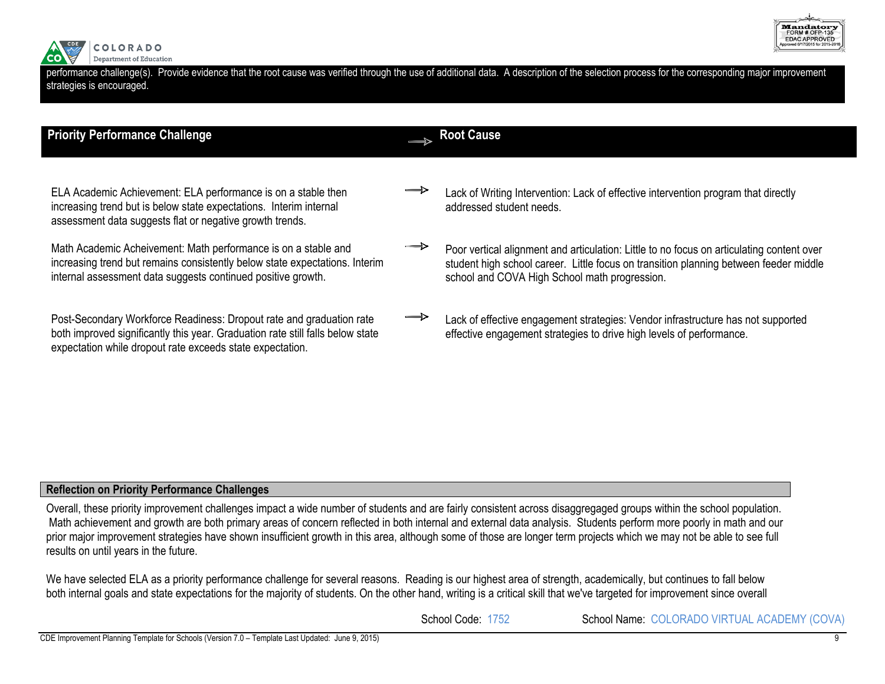



performance challenge(s). Provide evidence that the root cause was verified through the use of additional data. A description of the selection process for the corresponding major improvement strategies is encouraged.

| <b>Priority Performance Challenge</b>                                                                                                                                                                               |               | <b>Root Cause</b>                                                                                                                                                                                                                   |
|---------------------------------------------------------------------------------------------------------------------------------------------------------------------------------------------------------------------|---------------|-------------------------------------------------------------------------------------------------------------------------------------------------------------------------------------------------------------------------------------|
| ELA Academic Achievement: ELA performance is on a stable then<br>increasing trend but is below state expectations. Interim internal<br>assessment data suggests flat or negative growth trends.                     |               | Lack of Writing Intervention: Lack of effective intervention program that directly<br>addressed student needs.                                                                                                                      |
| Math Academic Acheivement: Math performance is on a stable and<br>increasing trend but remains consistently below state expectations. Interim<br>internal assessment data suggests continued positive growth.       | $\Rightarrow$ | Poor vertical alignment and articulation: Little to no focus on articulating content over<br>student high school career. Little focus on transition planning between feeder middle<br>school and COVA High School math progression. |
| Post-Secondary Workforce Readiness: Dropout rate and graduation rate<br>both improved significantly this year. Graduation rate still falls below state<br>expectation while dropout rate exceeds state expectation. | $\Rightarrow$ | Lack of effective engagement strategies: Vendor infrastructure has not supported<br>effective engagement strategies to drive high levels of performance.                                                                            |

#### **Reflection on Priority Performance Challenges**

Overall, these priority improvement challenges impact a wide number of students and are fairly consistent across disaggregaged groups within the school population. Math achievement and growth are both primary areas of concern reflected in both internal and external data analysis. Students perform more poorly in math and our prior major improvement strategies have shown insufficient growth in this area, although some of those are longer term projects which we may not be able to see full results on until years in the future.

We have selected ELA as a priority performance challenge for several reasons. Reading is our highest area of strength, academically, but continues to fall below both internal goals and state expectations for the majority of students. On the other hand, writing is a critical skill that we've targeted for improvement since overall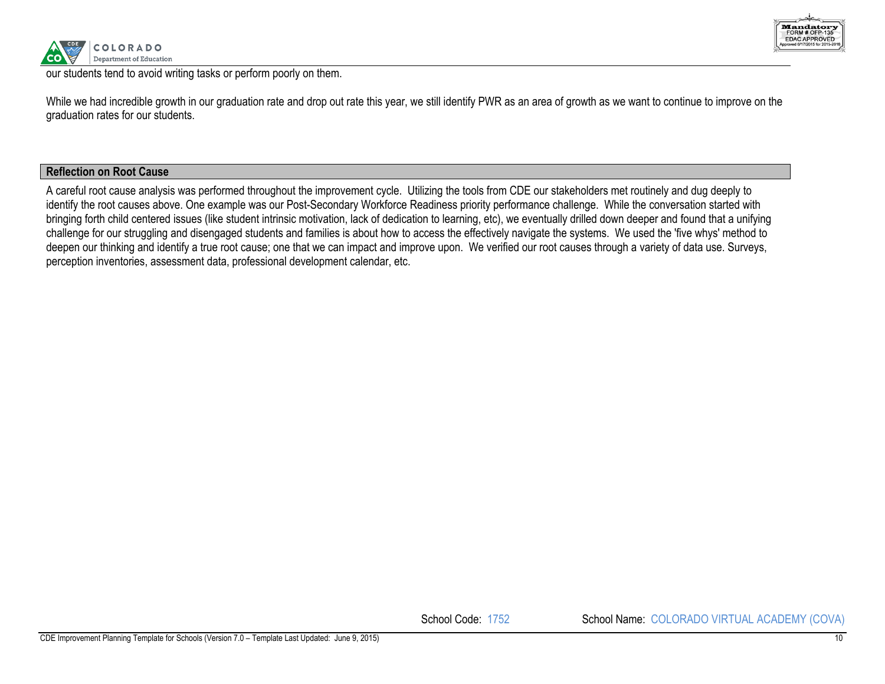



our students tend to avoid writing tasks or perform poorly on them.

While we had incredible growth in our graduation rate and drop out rate this year, we still identify PWR as an area of growth as we want to continue to improve on the graduation rates for our students.

#### **Reflection on Root Cause**

A careful root cause analysis was performed throughout the improvement cycle. Utilizing the tools from CDE our stakeholders met routinely and dug deeply to identify the root causes above. One example was our Post-Secondary Workforce Readiness priority performance challenge. While the conversation started with bringing forth child centered issues (like student intrinsic motivation, lack of dedication to learning, etc), we eventually drilled down deeper and found that a unifying challenge for our struggling and disengaged students and families is about how to access the effectively navigate the systems. We used the 'five whys' method to deepen our thinking and identify a true root cause; one that we can impact and improve upon. We verified our root causes through a variety of data use. Surveys, perception inventories, assessment data, professional development calendar, etc.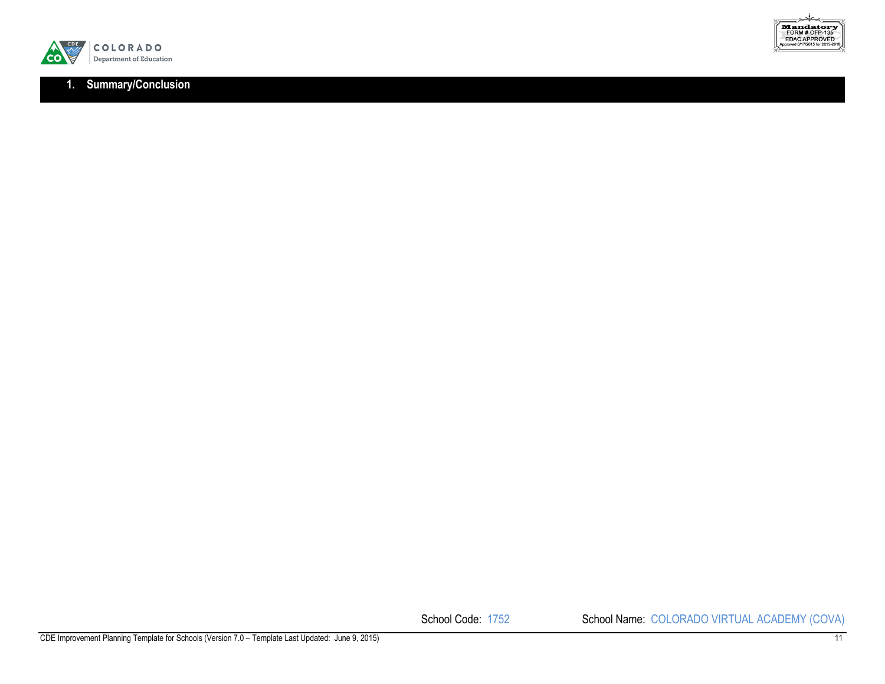

**1. Summary/Conclusion**

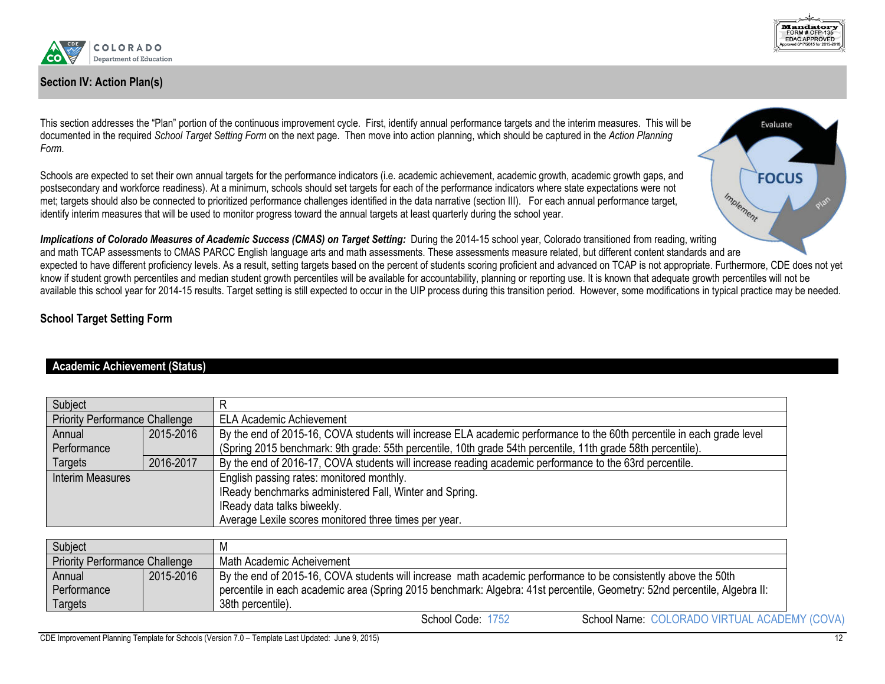

### **Section IV: Action Plan(s)**



This section addresses the "Plan" portion of the continuous improvement cycle. First, identify annual performance targets and the interim measures. This will be documented in the required *School Target Setting Form* on the next page. Then move into action planning, which should be captured in the *Action Planning Form*.

Schools are expected to set their own annual targets for the performance indicators (i.e. academic achievement, academic growth, academic growth gaps, and postsecondary and workforce readiness). At a minimum, schools should set targets for each of the performance indicators where state expectations were not met; targets should also be connected to prioritized performance challenges identified in the data narrative (section III). For each annual performance target, identify interim measures that will be used to monitor progress toward the annual targets at least quarterly during the school year.



Implications of Colorado Measures of Academic Success (CMAS) on Target Setting: During the 2014-15 school year, Colorado transitioned from reading, writing and math TCAP assessments to CMAS PARCC English language arts and math assessments. These assessments measure related, but different content standards and are expected to have different proficiency levels. As a result, setting targets based on the percent of students scoring proficient and advanced on TCAP is not appropriate. Furthermore, CDE does not yet know if student growth percentiles and median student growth percentiles will be available for accountability, planning or reporting use. It is known that adequate growth percentiles will not be available this school year for 2014-15 results. Target setting is still expected to occur in the UIP process during this transition period. However, some modifications in typical practice may be needed.

#### **School Target Setting Form**

#### **Academic Achievement (Status)**

| Subject                               |           |                                                                                                                        |
|---------------------------------------|-----------|------------------------------------------------------------------------------------------------------------------------|
| <b>Priority Performance Challenge</b> |           | <b>ELA Academic Achievement</b>                                                                                        |
| Annual                                | 2015-2016 | By the end of 2015-16, COVA students will increase ELA academic performance to the 60th percentile in each grade level |
| Performance                           |           | (Spring 2015 benchmark: 9th grade: 55th percentile, 10th grade 54th percentile, 11th grade 58th percentile).           |
| Targets                               | 2016-2017 | By the end of 2016-17, COVA students will increase reading academic performance to the 63rd percentile.                |
| <b>Interim Measures</b>               |           | English passing rates: monitored monthly.                                                                              |
|                                       |           | IReady benchmarks administered Fall, Winter and Spring.                                                                |
|                                       |           | IReady data talks biweekly.                                                                                            |
|                                       |           | Average Lexile scores monitored three times per year.                                                                  |

| Subject                               |           |                                                                                                                           |
|---------------------------------------|-----------|---------------------------------------------------------------------------------------------------------------------------|
| <b>Priority Performance Challenge</b> |           | Math Academic Acheivement                                                                                                 |
| Annual                                | 2015-2016 | By the end of 2015-16, COVA students will increase math academic performance to be consistently above the 50th            |
| Performance                           |           | percentile in each academic area (Spring 2015 benchmark: Algebra: 41st percentile, Geometry: 52nd percentile, Algebra II: |
| Targets                               |           | 38th percentile).                                                                                                         |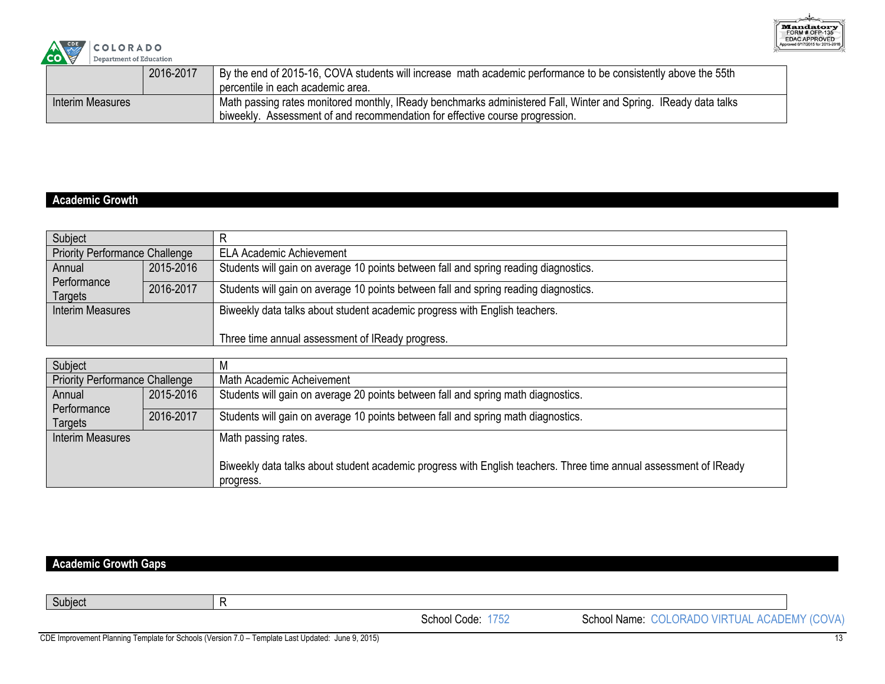



|                  | 2016-2017 | By the end of 2015-16, COVA students will increase math academic performance to be consistently above the 55th  |
|------------------|-----------|-----------------------------------------------------------------------------------------------------------------|
|                  |           | percentile in each academic area.                                                                               |
| Interim Measures |           | Math passing rates monitored monthly, IReady benchmarks administered Fall, Winter and Spring. IReady data talks |
|                  |           | biweekly. Assessment of and recommendation for effective course progression.                                    |

# **Academic Growth**

| Subject                               |           |                                                                                      |
|---------------------------------------|-----------|--------------------------------------------------------------------------------------|
| <b>Priority Performance Challenge</b> |           | ELA Academic Achievement                                                             |
| Annual                                | 2015-2016 | Students will gain on average 10 points between fall and spring reading diagnostics. |
| Performance<br>Targets                | 2016-2017 | Students will gain on average 10 points between fall and spring reading diagnostics. |
| Interim Measures                      |           | Biweekly data talks about student academic progress with English teachers.           |
|                                       |           | Three time annual assessment of IReady progress.                                     |

| Subject                               |           |                                                                                                                                |
|---------------------------------------|-----------|--------------------------------------------------------------------------------------------------------------------------------|
| <b>Priority Performance Challenge</b> |           | Math Academic Acheivement                                                                                                      |
| Annual                                | 2015-2016 | Students will gain on average 20 points between fall and spring math diagnostics.                                              |
| Performance<br>Targets                | 2016-2017 | Students will gain on average 10 points between fall and spring math diagnostics.                                              |
| <b>Interim Measures</b>               |           | Math passing rates.                                                                                                            |
|                                       |           | Biweekly data talks about student academic progress with English teachers. Three time annual assessment of IReady<br>progress. |

# **Academic Growth Gaps**

Subject R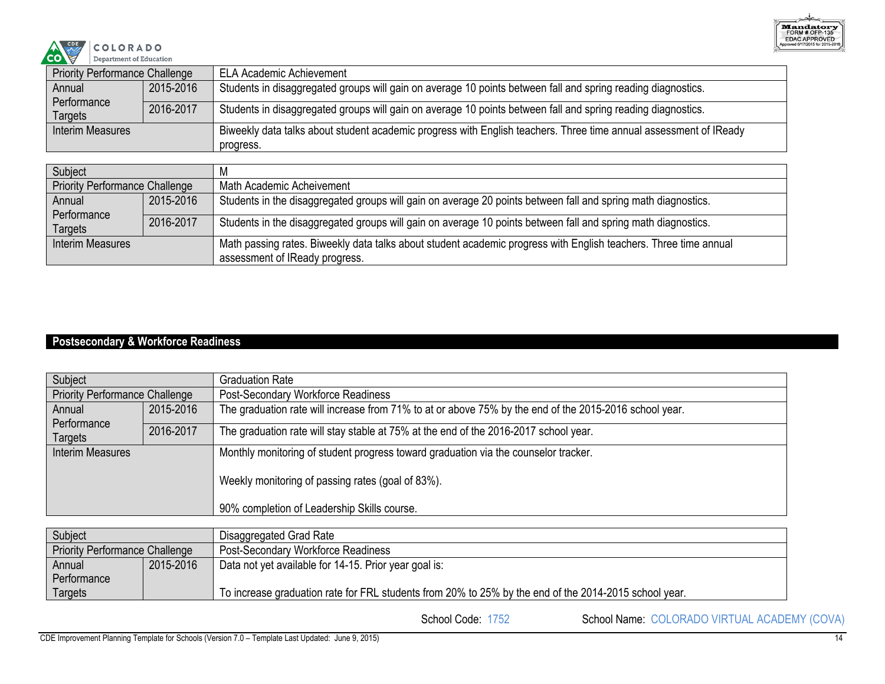



|                         | <b>Priority Performance Challenge</b> |                                                                                                                   |
|-------------------------|---------------------------------------|-------------------------------------------------------------------------------------------------------------------|
|                         |                                       | <b>ELA Academic Achievement</b>                                                                                   |
| Annual                  | 2015-2016                             | Students in disaggregated groups will gain on average 10 points between fall and spring reading diagnostics.      |
| Performance             |                                       |                                                                                                                   |
|                         | 2016-2017                             | Students in disaggregated groups will gain on average 10 points between fall and spring reading diagnostics.      |
| Targets                 |                                       |                                                                                                                   |
| <b>Interim Measures</b> |                                       | Biweekly data talks about student academic progress with English teachers. Three time annual assessment of IReady |
|                         |                                       | progress.                                                                                                         |

| Subject                               |           | M                                                                                                                |
|---------------------------------------|-----------|------------------------------------------------------------------------------------------------------------------|
| <b>Priority Performance Challenge</b> |           | Math Academic Acheivement                                                                                        |
| Annual                                | 2015-2016 | Students in the disaggregated groups will gain on average 20 points between fall and spring math diagnostics.    |
| Performance<br><b>Targets</b>         | 2016-2017 | Students in the disaggregated groups will gain on average 10 points between fall and spring math diagnostics.    |
| <b>Interim Measures</b>               |           | Math passing rates. Biweekly data talks about student academic progress with English teachers. Three time annual |
|                                       |           | assessment of IReady progress.                                                                                   |

# **Postsecondary & Workforce Readiness**

| Subject                               |           | <b>Graduation Rate</b>                                                                                 |
|---------------------------------------|-----------|--------------------------------------------------------------------------------------------------------|
| <b>Priority Performance Challenge</b> |           | <b>Post-Secondary Workforce Readiness</b>                                                              |
| Annual                                | 2015-2016 | The graduation rate will increase from 71% to at or above 75% by the end of the 2015-2016 school year. |
| Performance<br>Targets                | 2016-2017 | The graduation rate will stay stable at 75% at the end of the 2016-2017 school year.                   |
| <b>Interim Measures</b>               |           | Monthly monitoring of student progress toward graduation via the counselor tracker.                    |
|                                       |           | Weekly monitoring of passing rates (goal of 83%).                                                      |
|                                       |           | 90% completion of Leadership Skills course.                                                            |

| Subject                        |           | Disaggregated Grad Rate                                                                               |
|--------------------------------|-----------|-------------------------------------------------------------------------------------------------------|
| Priority Performance Challenge |           | Post-Secondary Workforce Readiness                                                                    |
| Annual                         | 2015-2016 | Data not yet available for 14-15. Prior year goal is:                                                 |
| Performance                    |           |                                                                                                       |
| <b>Targets</b>                 |           | To increase graduation rate for FRL students from 20% to 25% by the end of the 2014-2015 school year. |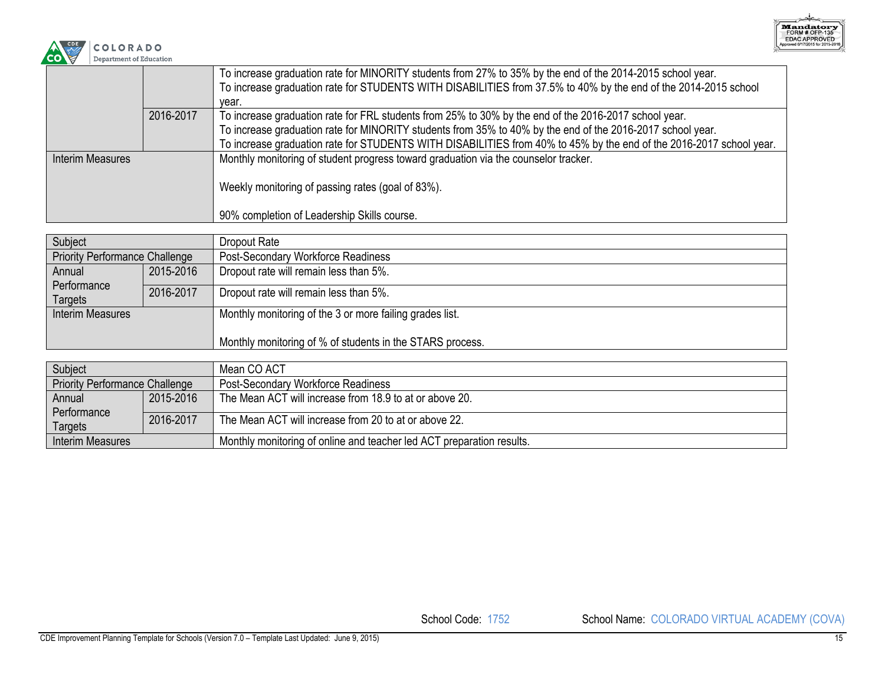



|                  |           | To increase graduation rate for MINORITY students from 27% to 35% by the end of the 2014-2015 school year.          |
|------------------|-----------|---------------------------------------------------------------------------------------------------------------------|
|                  |           | To increase graduation rate for STUDENTS WITH DISABILITIES from 37.5% to 40% by the end of the 2014-2015 school     |
|                  |           | vear.                                                                                                               |
|                  | 2016-2017 | To increase graduation rate for FRL students from 25% to 30% by the end of the 2016-2017 school year.               |
|                  |           | To increase graduation rate for MINORITY students from 35% to 40% by the end of the 2016-2017 school year.          |
|                  |           | To increase graduation rate for STUDENTS WITH DISABILITIES from 40% to 45% by the end of the 2016-2017 school year. |
| Interim Measures |           | Monthly monitoring of student progress toward graduation via the counselor tracker.                                 |
|                  |           |                                                                                                                     |
|                  |           | Weekly monitoring of passing rates (goal of 83%).                                                                   |
|                  |           |                                                                                                                     |
|                  |           | 90% completion of Leadership Skills course.                                                                         |

| Subject                               |           | Dropout Rate                                              |
|---------------------------------------|-----------|-----------------------------------------------------------|
| <b>Priority Performance Challenge</b> |           | <b>Post-Secondary Workforce Readiness</b>                 |
| Annual                                | 2015-2016 | Dropout rate will remain less than 5%.                    |
| Performance                           | 2016-2017 |                                                           |
| Targets                               |           | Dropout rate will remain less than 5%.                    |
| Interim Measures                      |           | Monthly monitoring of the 3 or more failing grades list.  |
|                                       |           |                                                           |
|                                       |           | Monthly monitoring of % of students in the STARS process. |

| Subject                               |           | Mean CO ACT                                                           |
|---------------------------------------|-----------|-----------------------------------------------------------------------|
| <b>Priority Performance Challenge</b> |           | <b>Post-Secondary Workforce Readiness</b>                             |
| Annual                                | 2015-2016 | The Mean ACT will increase from 18.9 to at or above 20.               |
| Performance                           | 2016-2017 | The Mean ACT will increase from 20 to at or above 22.                 |
| Targets                               |           |                                                                       |
| <b>Interim Measures</b>               |           | Monthly monitoring of online and teacher led ACT preparation results. |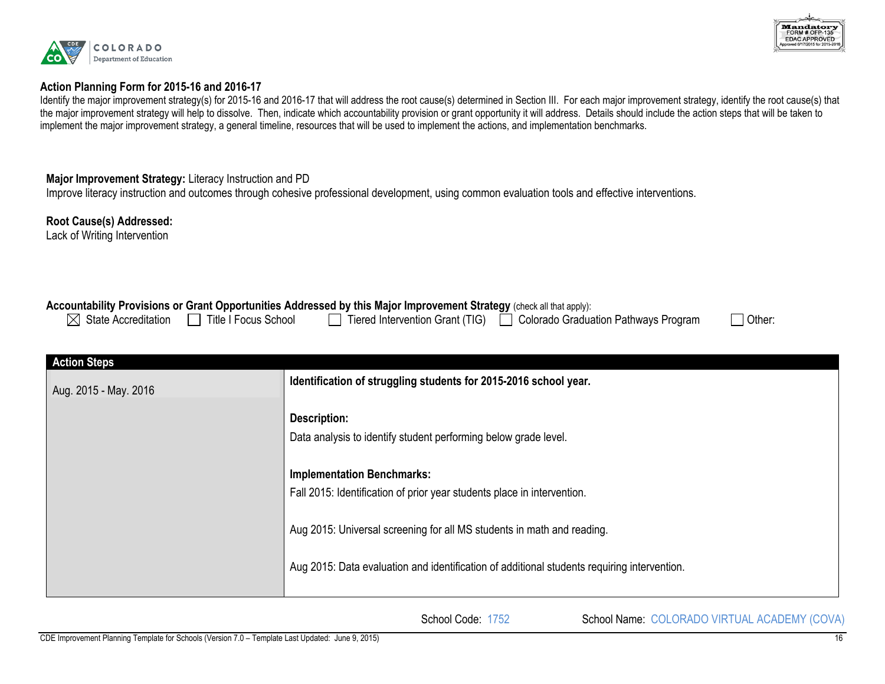

#### **Action Planning Form for 2015-16 and 2016-17**

**COLORADO** Department of Education

Identify the major improvement strategy(s) for 2015-16 and 2016-17 that will address the root cause(s) determined in Section III. For each major improvement strategy, identify the root cause(s) that the major improvement strategy will help to dissolve. Then, indicate which accountability provision or grant opportunity it will address. Details should include the action steps that will be taken to implement the major improvement strategy, a general timeline, resources that will be used to implement the actions, and implementation benchmarks.

#### **Major Improvement Strategy:** Literacy Instruction and PD

Improve literacy instruction and outcomes through cohesive professional development, using common evaluation tools and effective interventions.

#### **Root Cause(s) Addressed:**

Lack of Writing Intervention

# **Accountability Provisions or Grant Opportunities Addressed by this Major Improvement Strategy (check all that apply):<br>
I State Accreditation <b>I** Title I Focus School **I** Tiered Intervention Grant (TIG) **I** Colorado Gradua

|  | $\boxtimes$ State Accreditation |  |  |  |
|--|---------------------------------|--|--|--|
|--|---------------------------------|--|--|--|

 $\Box$  Tiered Intervention Grant (TIG)  $\Box$  Colorado Graduation Pathways Program  $\Box$  Other:

| <b>Action Steps</b>   |                                                                                             |
|-----------------------|---------------------------------------------------------------------------------------------|
| Aug. 2015 - May. 2016 | Identification of struggling students for 2015-2016 school year.                            |
|                       | Description:                                                                                |
|                       | Data analysis to identify student performing below grade level.                             |
|                       | <b>Implementation Benchmarks:</b>                                                           |
|                       | Fall 2015: Identification of prior year students place in intervention.                     |
|                       | Aug 2015: Universal screening for all MS students in math and reading.                      |
|                       | Aug 2015: Data evaluation and identification of additional students requiring intervention. |
|                       |                                                                                             |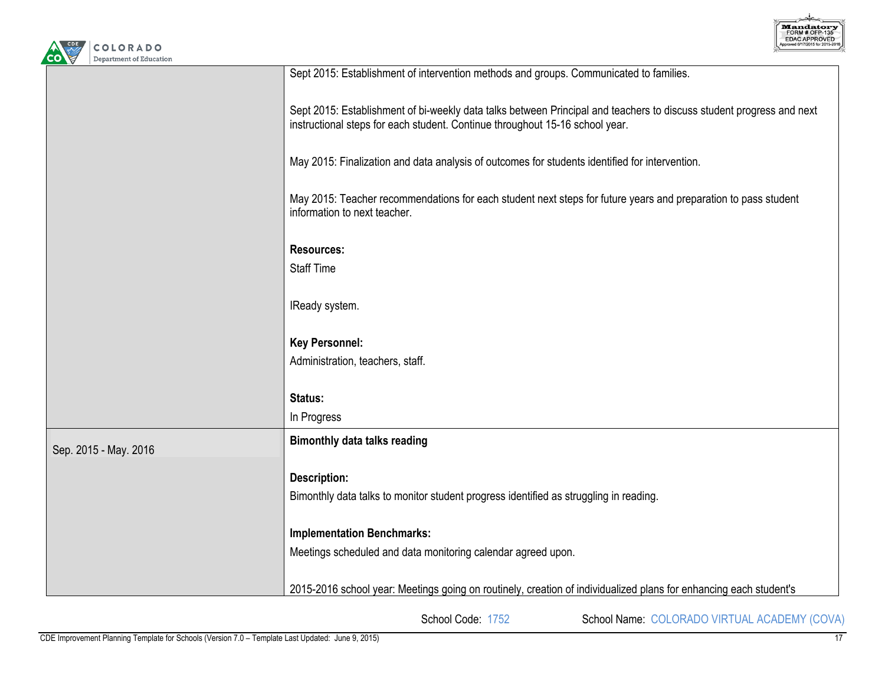



| $\sim$<br>$\parallel$ Department of Equication |                                                                                                                                                                                                      |
|------------------------------------------------|------------------------------------------------------------------------------------------------------------------------------------------------------------------------------------------------------|
|                                                | Sept 2015: Establishment of intervention methods and groups. Communicated to families.                                                                                                               |
|                                                | Sept 2015: Establishment of bi-weekly data talks between Principal and teachers to discuss student progress and next<br>instructional steps for each student. Continue throughout 15-16 school year. |
|                                                | May 2015: Finalization and data analysis of outcomes for students identified for intervention.                                                                                                       |
|                                                | May 2015: Teacher recommendations for each student next steps for future years and preparation to pass student<br>information to next teacher.                                                       |
|                                                |                                                                                                                                                                                                      |
|                                                | <b>Resources:</b>                                                                                                                                                                                    |
|                                                | <b>Staff Time</b>                                                                                                                                                                                    |
|                                                | IReady system.                                                                                                                                                                                       |
|                                                | <b>Key Personnel:</b>                                                                                                                                                                                |
|                                                |                                                                                                                                                                                                      |
|                                                | Administration, teachers, staff.                                                                                                                                                                     |
|                                                | Status:                                                                                                                                                                                              |
|                                                | In Progress                                                                                                                                                                                          |
| Sep. 2015 - May. 2016                          | <b>Bimonthly data talks reading</b>                                                                                                                                                                  |
|                                                | <b>Description:</b>                                                                                                                                                                                  |
|                                                |                                                                                                                                                                                                      |
|                                                | Bimonthly data talks to monitor student progress identified as struggling in reading.                                                                                                                |
|                                                | <b>Implementation Benchmarks:</b>                                                                                                                                                                    |
|                                                | Meetings scheduled and data monitoring calendar agreed upon.                                                                                                                                         |
|                                                | 2015-2016 school year: Meetings going on routinely, creation of individualized plans for enhancing each student's                                                                                    |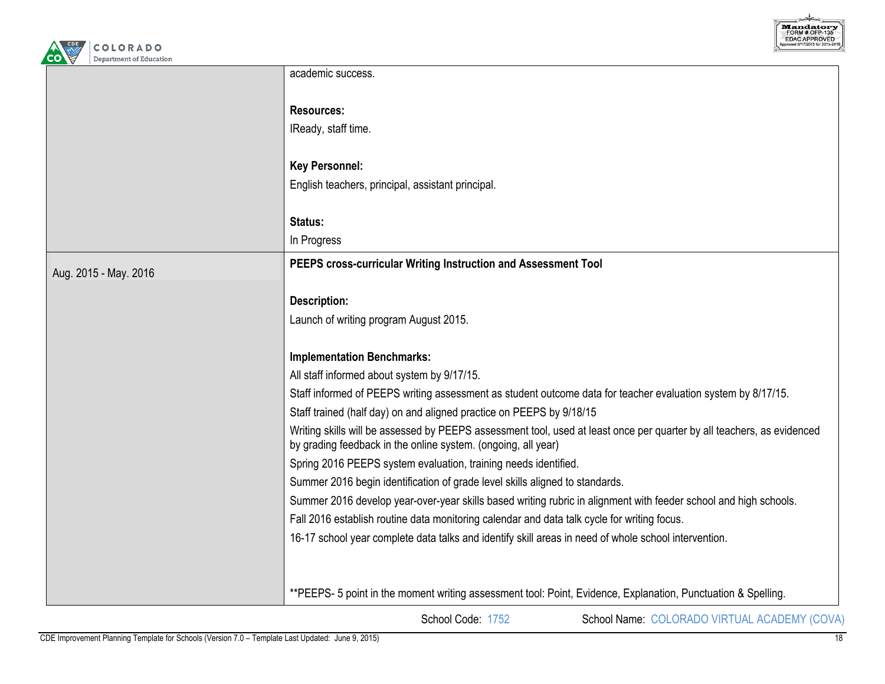



|                       | academic success.                                                                                                      |
|-----------------------|------------------------------------------------------------------------------------------------------------------------|
|                       |                                                                                                                        |
|                       | <b>Resources:</b>                                                                                                      |
|                       | IReady, staff time.                                                                                                    |
|                       |                                                                                                                        |
|                       | <b>Key Personnel:</b>                                                                                                  |
|                       | English teachers, principal, assistant principal.                                                                      |
|                       | Status:                                                                                                                |
|                       | In Progress                                                                                                            |
|                       |                                                                                                                        |
| Aug. 2015 - May. 2016 | PEEPS cross-curricular Writing Instruction and Assessment Tool                                                         |
|                       |                                                                                                                        |
|                       | <b>Description:</b>                                                                                                    |
|                       | Launch of writing program August 2015.                                                                                 |
|                       | <b>Implementation Benchmarks:</b>                                                                                      |
|                       | All staff informed about system by 9/17/15.                                                                            |
|                       | Staff informed of PEEPS writing assessment as student outcome data for teacher evaluation system by 8/17/15.           |
|                       | Staff trained (half day) on and aligned practice on PEEPS by 9/18/15                                                   |
|                       | Writing skills will be assessed by PEEPS assessment tool, used at least once per quarter by all teachers, as evidenced |
|                       | by grading feedback in the online system. (ongoing, all year)                                                          |
|                       | Spring 2016 PEEPS system evaluation, training needs identified.                                                        |
|                       | Summer 2016 begin identification of grade level skills aligned to standards.                                           |
|                       | Summer 2016 develop year-over-year skills based writing rubric in alignment with feeder school and high schools.       |
|                       | Fall 2016 establish routine data monitoring calendar and data talk cycle for writing focus.                            |
|                       | 16-17 school year complete data talks and identify skill areas in need of whole school intervention.                   |
|                       |                                                                                                                        |
|                       |                                                                                                                        |
|                       | **PEEPS- 5 point in the moment writing assessment tool: Point, Evidence, Explanation, Punctuation & Spelling.          |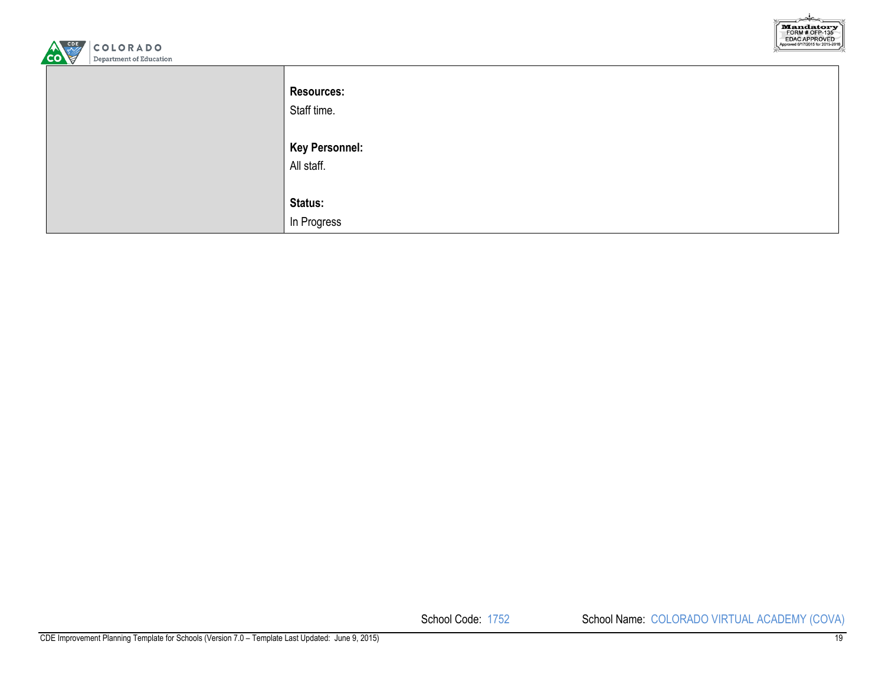| CO COE | COLORADO<br>Department of Education | Mandatory<br>FORM # OFP-135<br>EDAC APPROVED<br>Approved 6/17/2015 for 2015-2016 |  |
|--------|-------------------------------------|----------------------------------------------------------------------------------|--|
|        |                                     |                                                                                  |  |
|        |                                     | <b>Resources:</b>                                                                |  |
|        |                                     | Staff time.                                                                      |  |
|        |                                     |                                                                                  |  |
|        |                                     | <b>Key Personnel:</b>                                                            |  |
|        |                                     | All staff.                                                                       |  |
|        |                                     |                                                                                  |  |
|        |                                     |                                                                                  |  |
|        |                                     | Status:                                                                          |  |
|        |                                     | In Progress                                                                      |  |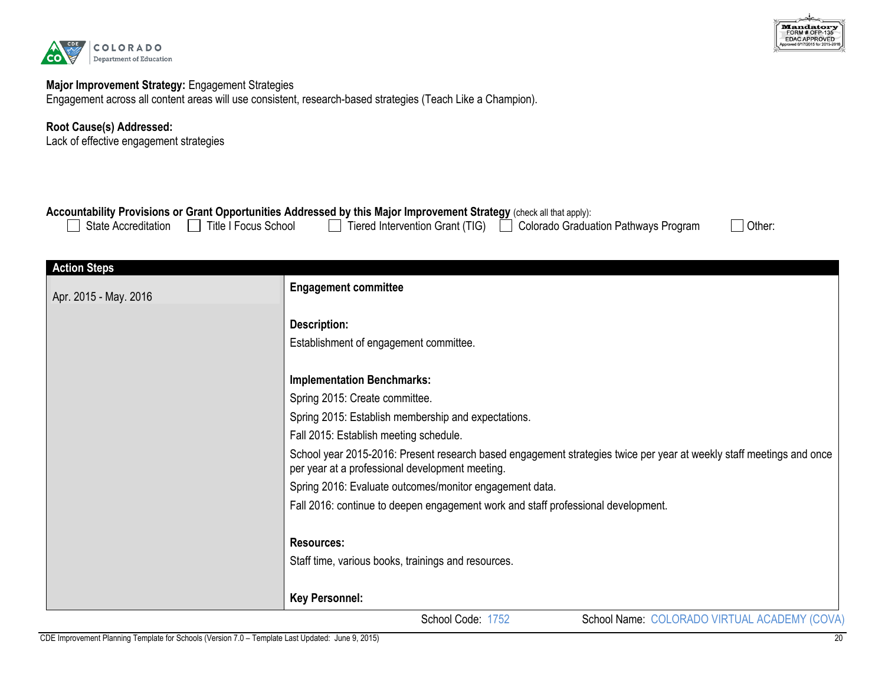

# **Major Improvement Strategy:** Engagement Strategies

Engagement across all content areas will use consistent, research-based strategies (Teach Like a Champion).

#### **Root Cause(s) Addressed:**

**co** 

Lack of effective engagement strategies

COLORADO

Department of Education

# **Accountability Provisions or Grant Opportunities Addressed by this Major Improvement Strategy (check all that apply):<br>
State Accreditation | Title I Focus School | Tiered Intervention Grant (TIG) | Colorado Gradua**

Tiered Intervention Grant (TIG) **I** Colorado Graduation Pathways Program **I** Other:

| <b>Action Steps</b>   |                                                                                                                                                                         |
|-----------------------|-------------------------------------------------------------------------------------------------------------------------------------------------------------------------|
| Apr. 2015 - May. 2016 | <b>Engagement committee</b>                                                                                                                                             |
|                       | Description:                                                                                                                                                            |
|                       | Establishment of engagement committee.                                                                                                                                  |
|                       | <b>Implementation Benchmarks:</b>                                                                                                                                       |
|                       | Spring 2015: Create committee.                                                                                                                                          |
|                       | Spring 2015: Establish membership and expectations.                                                                                                                     |
|                       | Fall 2015: Establish meeting schedule.                                                                                                                                  |
|                       | School year 2015-2016: Present research based engagement strategies twice per year at weekly staff meetings and once<br>per year at a professional development meeting. |
|                       | Spring 2016: Evaluate outcomes/monitor engagement data.                                                                                                                 |
|                       | Fall 2016: continue to deepen engagement work and staff professional development.                                                                                       |
|                       | <b>Resources:</b>                                                                                                                                                       |
|                       | Staff time, various books, trainings and resources.                                                                                                                     |
|                       |                                                                                                                                                                         |
|                       | <b>Key Personnel:</b>                                                                                                                                                   |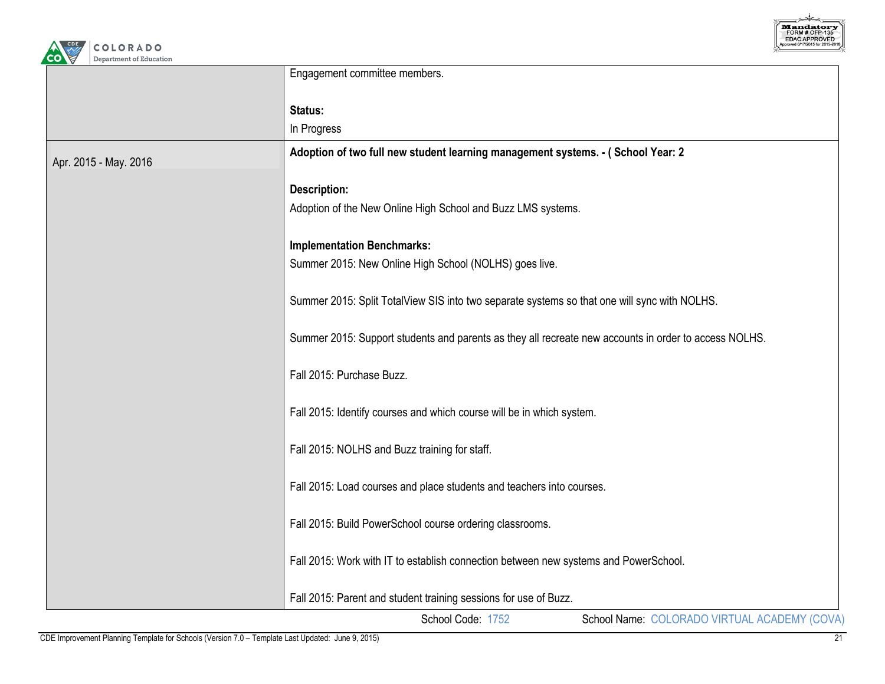



|                       | Engagement committee members.                                                                                                          |
|-----------------------|----------------------------------------------------------------------------------------------------------------------------------------|
|                       |                                                                                                                                        |
|                       | Status:                                                                                                                                |
|                       | In Progress                                                                                                                            |
| Apr. 2015 - May. 2016 | Adoption of two full new student learning management systems. - (School Year: 2                                                        |
|                       | <b>Description:</b>                                                                                                                    |
|                       | Adoption of the New Online High School and Buzz LMS systems.                                                                           |
|                       | <b>Implementation Benchmarks:</b>                                                                                                      |
|                       | Summer 2015: New Online High School (NOLHS) goes live.                                                                                 |
|                       | Summer 2015: Split TotalView SIS into two separate systems so that one will sync with NOLHS.                                           |
|                       | Summer 2015: Support students and parents as they all recreate new accounts in order to access NOLHS.                                  |
|                       | Fall 2015: Purchase Buzz.                                                                                                              |
|                       | Fall 2015: Identify courses and which course will be in which system.                                                                  |
|                       | Fall 2015: NOLHS and Buzz training for staff.                                                                                          |
|                       | Fall 2015: Load courses and place students and teachers into courses.                                                                  |
|                       | Fall 2015: Build PowerSchool course ordering classrooms.                                                                               |
|                       | Fall 2015: Work with IT to establish connection between new systems and PowerSchool.                                                   |
|                       | Fall 2015: Parent and student training sessions for use of Buzz.<br><b>CL IN COLODADO URTUAL AQADEMAY (QQ)</b><br><b>0.1.10.1.1750</b> |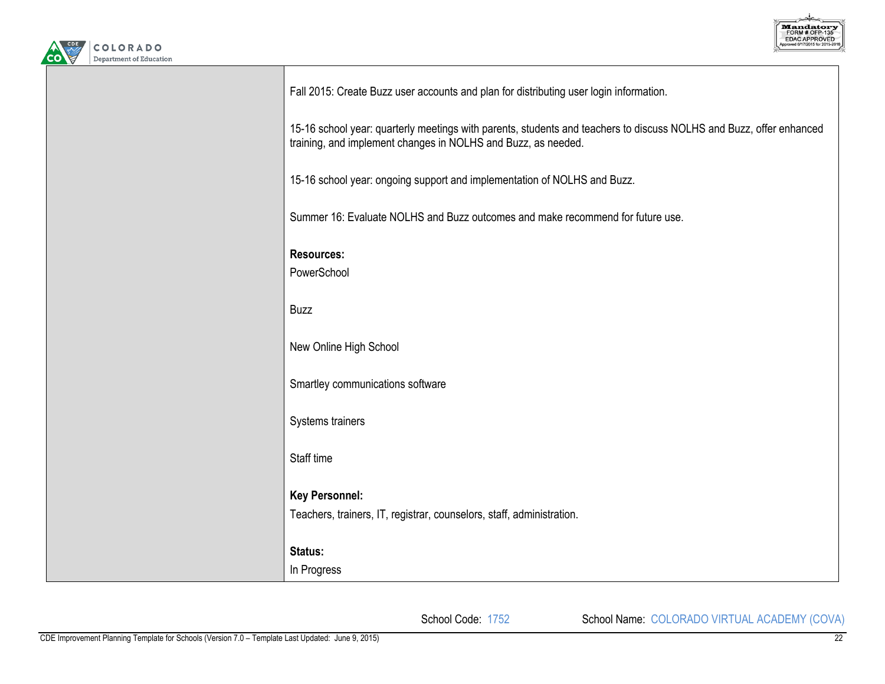



| Fall 2015: Create Buzz user accounts and plan for distributing user login information.                                                                                               |
|--------------------------------------------------------------------------------------------------------------------------------------------------------------------------------------|
| 15-16 school year: quarterly meetings with parents, students and teachers to discuss NOLHS and Buzz, offer enhanced<br>training, and implement changes in NOLHS and Buzz, as needed. |
| 15-16 school year: ongoing support and implementation of NOLHS and Buzz.                                                                                                             |
| Summer 16: Evaluate NOLHS and Buzz outcomes and make recommend for future use.                                                                                                       |
| <b>Resources:</b><br>PowerSchool                                                                                                                                                     |
| <b>Buzz</b>                                                                                                                                                                          |
| New Online High School                                                                                                                                                               |
| Smartley communications software                                                                                                                                                     |
| Systems trainers                                                                                                                                                                     |
| Staff time                                                                                                                                                                           |
| <b>Key Personnel:</b>                                                                                                                                                                |
| Teachers, trainers, IT, registrar, counselors, staff, administration.                                                                                                                |
| Status:<br>In Progress                                                                                                                                                               |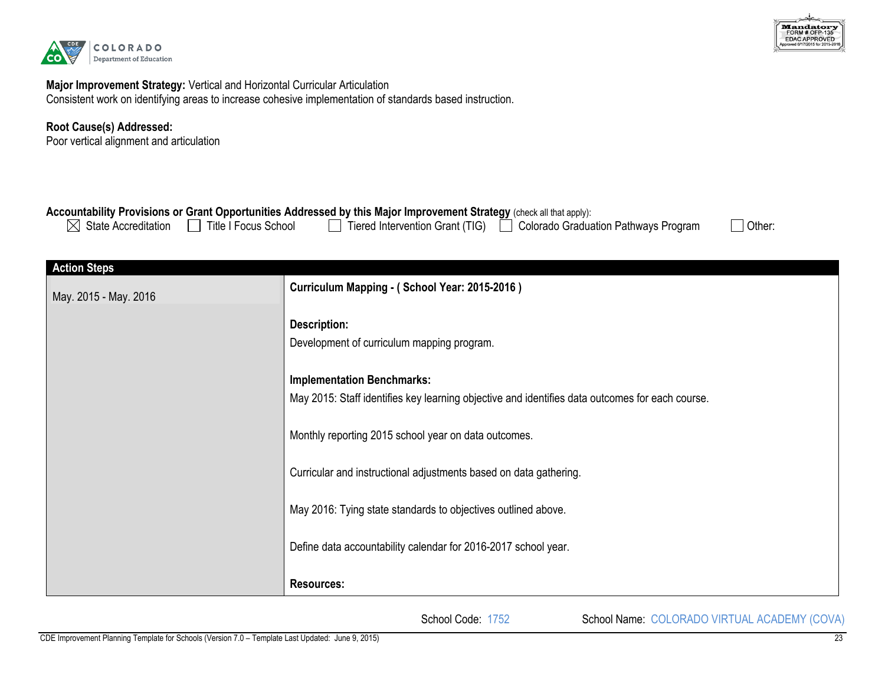



# **Major Improvement Strategy:** Vertical and Horizontal Curricular Articulation

Consistent work on identifying areas to increase cohesive implementation of standards based instruction.

### **Root Cause(s) Addressed:**

Poor vertical alignment and articulation

# **Accountability Provisions or Grant Opportunities Addressed by this Major Improvement Strategy (check all that apply):<br>
State Accreditation | Title I Focus School | Tiered Intervention Grant (TIG) | Colorado Gradual**

Tiered Intervention Grant (TIG) **I** Colorado Graduation Pathways Program **I** Other:

| <b>Action Steps</b>   |                                                                                                 |
|-----------------------|-------------------------------------------------------------------------------------------------|
| May. 2015 - May. 2016 | Curriculum Mapping - (School Year: 2015-2016)                                                   |
|                       | Description:                                                                                    |
|                       | Development of curriculum mapping program.                                                      |
|                       |                                                                                                 |
|                       | <b>Implementation Benchmarks:</b>                                                               |
|                       | May 2015: Staff identifies key learning objective and identifies data outcomes for each course. |
|                       |                                                                                                 |
|                       | Monthly reporting 2015 school year on data outcomes.                                            |
|                       |                                                                                                 |
|                       | Curricular and instructional adjustments based on data gathering.                               |
|                       |                                                                                                 |
|                       | May 2016: Tying state standards to objectives outlined above.                                   |
|                       |                                                                                                 |
|                       | Define data accountability calendar for 2016-2017 school year.                                  |
|                       |                                                                                                 |
|                       | <b>Resources:</b>                                                                               |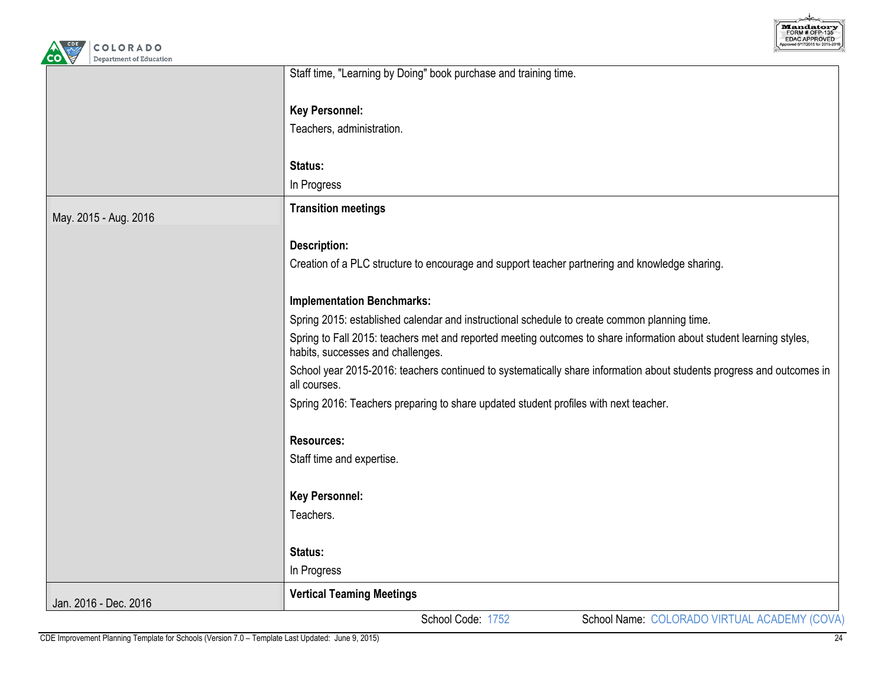



|                       | Staff time, "Learning by Doing" book purchase and training time.                                                                                         |
|-----------------------|----------------------------------------------------------------------------------------------------------------------------------------------------------|
|                       | <b>Key Personnel:</b>                                                                                                                                    |
|                       | Teachers, administration.                                                                                                                                |
|                       | Status:                                                                                                                                                  |
|                       | In Progress                                                                                                                                              |
| May. 2015 - Aug. 2016 | <b>Transition meetings</b>                                                                                                                               |
|                       | <b>Description:</b>                                                                                                                                      |
|                       | Creation of a PLC structure to encourage and support teacher partnering and knowledge sharing.                                                           |
|                       | <b>Implementation Benchmarks:</b>                                                                                                                        |
|                       | Spring 2015: established calendar and instructional schedule to create common planning time.                                                             |
|                       | Spring to Fall 2015: teachers met and reported meeting outcomes to share information about student learning styles,<br>habits, successes and challenges. |
|                       | School year 2015-2016: teachers continued to systematically share information about students progress and outcomes in<br>all courses.                    |
|                       | Spring 2016: Teachers preparing to share updated student profiles with next teacher.                                                                     |
|                       | <b>Resources:</b>                                                                                                                                        |
|                       | Staff time and expertise.                                                                                                                                |
|                       | <b>Key Personnel:</b>                                                                                                                                    |
|                       | Teachers.                                                                                                                                                |
|                       |                                                                                                                                                          |
|                       | Status:                                                                                                                                                  |
|                       | In Progress                                                                                                                                              |
| Jan. 2016 - Dec. 2016 | <b>Vertical Teaming Meetings</b>                                                                                                                         |
|                       | School Name: COLORADO VIRTUAL ACADEMY (COVA<br>School Code: 1752                                                                                         |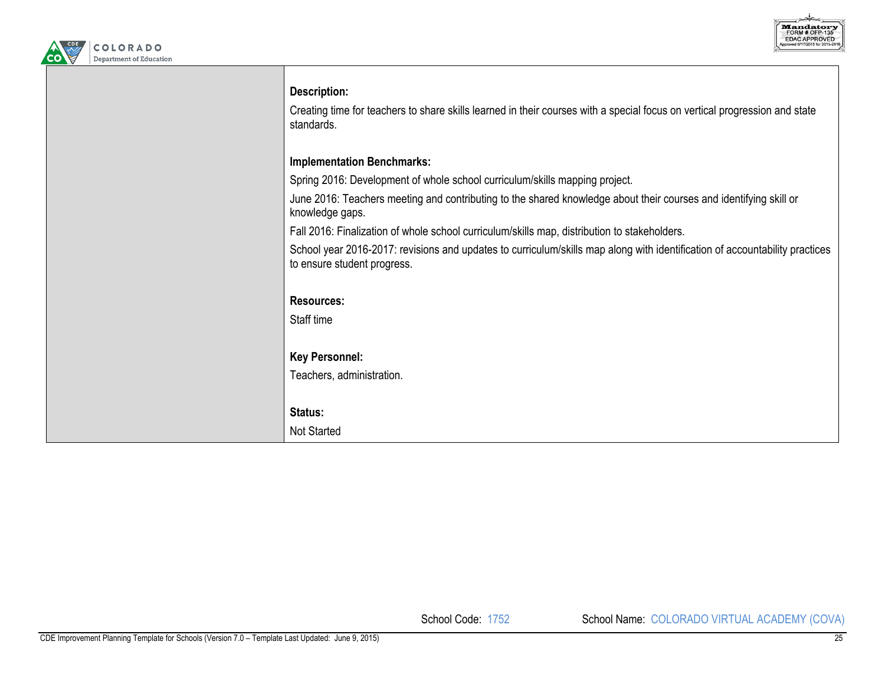



| Description:                                                                                                                                               |
|------------------------------------------------------------------------------------------------------------------------------------------------------------|
| Creating time for teachers to share skills learned in their courses with a special focus on vertical progression and state<br>standards.                   |
| <b>Implementation Benchmarks:</b>                                                                                                                          |
| Spring 2016: Development of whole school curriculum/skills mapping project.                                                                                |
| June 2016: Teachers meeting and contributing to the shared knowledge about their courses and identifying skill or<br>knowledge gaps.                       |
| Fall 2016: Finalization of whole school curriculum/skills map, distribution to stakeholders.                                                               |
| School year 2016-2017: revisions and updates to curriculum/skills map along with identification of accountability practices<br>to ensure student progress. |
| <b>Resources:</b>                                                                                                                                          |
| Staff time                                                                                                                                                 |
|                                                                                                                                                            |
| <b>Key Personnel:</b>                                                                                                                                      |
| Teachers, administration.                                                                                                                                  |
|                                                                                                                                                            |
| Status:                                                                                                                                                    |
| Not Started                                                                                                                                                |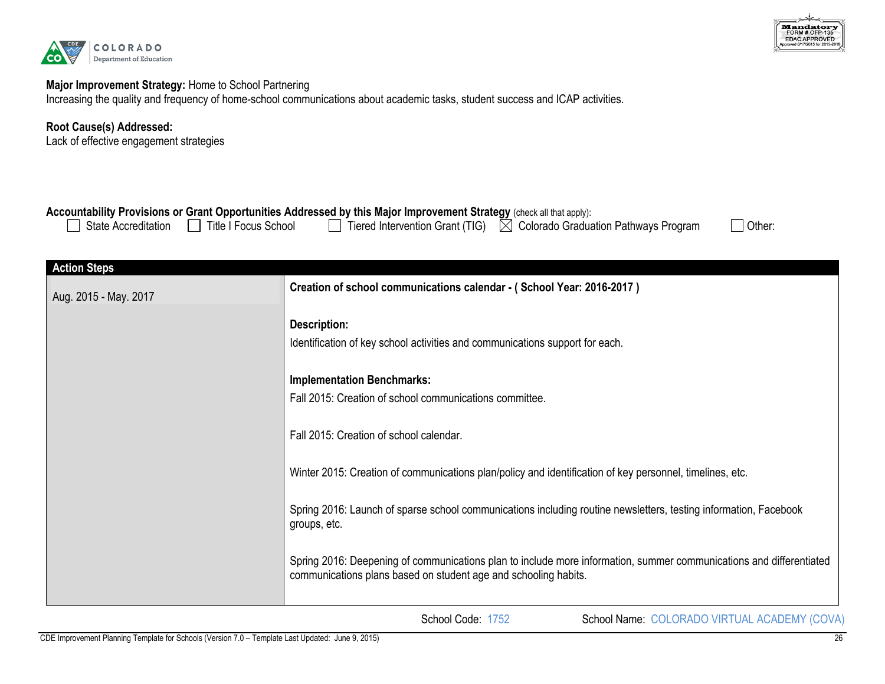



# **Major Improvement Strategy:** Home to School Partnering

Increasing the quality and frequency of home-school communications about academic tasks, student success and ICAP activities.

### **Root Cause(s) Addressed:**

Lack of effective engagement strategies

# **Accountability Provisions or Grant Opportunities Addressed by this Major Improvement Strategy (check all that apply):<br>
State Accreditation**  $\Box$  **Title I Focus School**  $\Box$  **Tiered Intervention Grant (TIG)**  $\boxtimes$  **Colorado Grad**

 $\Box$  Tiered Intervention Grant (TIG)  $\boxtimes$  Colorado Graduation Pathways Program  $\Box$  Other:

| <b>Action Steps</b>   |                                                                                                                                                                                        |
|-----------------------|----------------------------------------------------------------------------------------------------------------------------------------------------------------------------------------|
| Aug. 2015 - May. 2017 | Creation of school communications calendar - (School Year: 2016-2017)                                                                                                                  |
|                       | <b>Description:</b><br>Identification of key school activities and communications support for each.                                                                                    |
|                       | <b>Implementation Benchmarks:</b><br>Fall 2015: Creation of school communications committee.                                                                                           |
|                       | Fall 2015: Creation of school calendar.                                                                                                                                                |
|                       | Winter 2015: Creation of communications plan/policy and identification of key personnel, timelines, etc.                                                                               |
|                       | Spring 2016: Launch of sparse school communications including routine newsletters, testing information, Facebook<br>groups, etc.                                                       |
|                       | Spring 2016: Deepening of communications plan to include more information, summer communications and differentiated<br>communications plans based on student age and schooling habits. |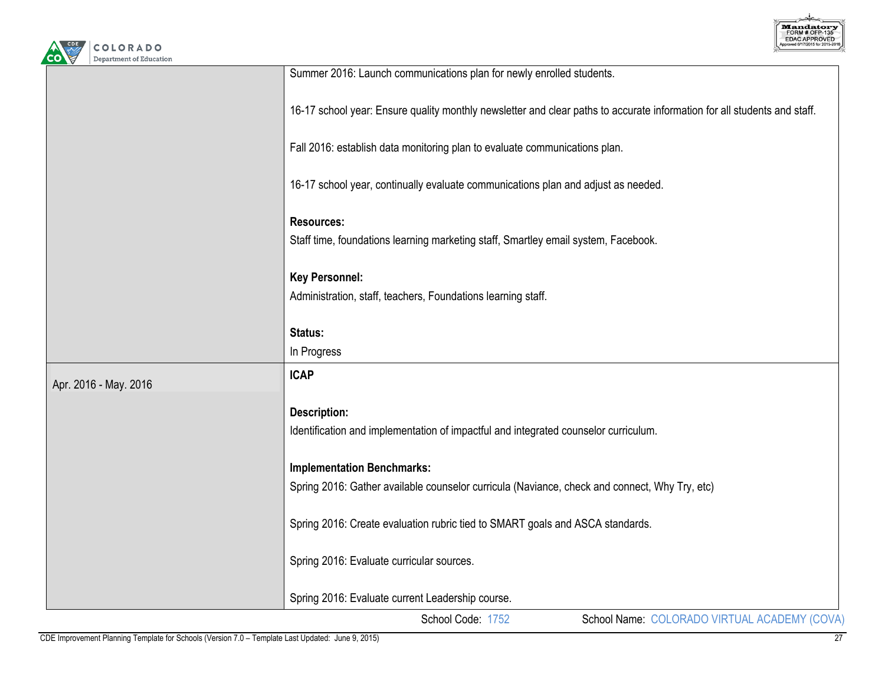



| $\sim$                | Summer 2016: Launch communications plan for newly enrolled students.                                                     |
|-----------------------|--------------------------------------------------------------------------------------------------------------------------|
|                       |                                                                                                                          |
|                       | 16-17 school year: Ensure quality monthly newsletter and clear paths to accurate information for all students and staff. |
|                       | Fall 2016: establish data monitoring plan to evaluate communications plan.                                               |
|                       | 16-17 school year, continually evaluate communications plan and adjust as needed.                                        |
|                       | <b>Resources:</b>                                                                                                        |
|                       | Staff time, foundations learning marketing staff, Smartley email system, Facebook.                                       |
|                       | <b>Key Personnel:</b>                                                                                                    |
|                       | Administration, staff, teachers, Foundations learning staff.                                                             |
|                       | Status:                                                                                                                  |
|                       | In Progress                                                                                                              |
| Apr. 2016 - May. 2016 | <b>ICAP</b>                                                                                                              |
|                       | <b>Description:</b>                                                                                                      |
|                       | Identification and implementation of impactful and integrated counselor curriculum.                                      |
|                       | <b>Implementation Benchmarks:</b>                                                                                        |
|                       | Spring 2016: Gather available counselor curricula (Naviance, check and connect, Why Try, etc)                            |
|                       | Spring 2016: Create evaluation rubric tied to SMART goals and ASCA standards.                                            |
|                       | Spring 2016: Evaluate curricular sources.                                                                                |
|                       | Spring 2016: Evaluate current Leadership course.                                                                         |
|                       | School Name: COLORADO VIRTUAL ACADEMY (COVA)<br>School Code: 1752                                                        |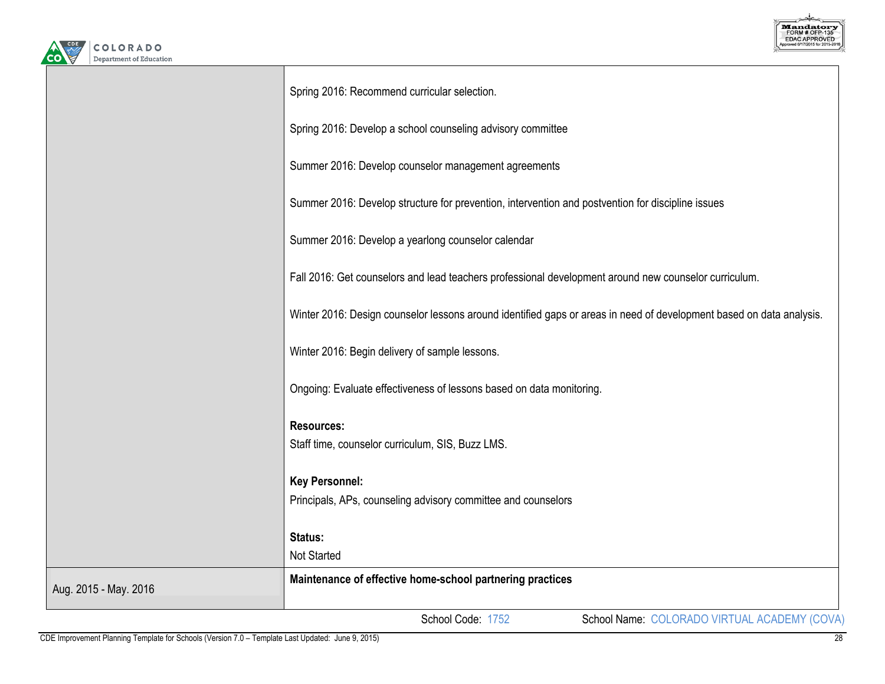



| Spring 2016: Recommend curricular selection.                                                                         |
|----------------------------------------------------------------------------------------------------------------------|
| Spring 2016: Develop a school counseling advisory committee                                                          |
| Summer 2016: Develop counselor management agreements                                                                 |
| Summer 2016: Develop structure for prevention, intervention and postvention for discipline issues                    |
| Summer 2016: Develop a yearlong counselor calendar                                                                   |
| Fall 2016: Get counselors and lead teachers professional development around new counselor curriculum.                |
| Winter 2016: Design counselor lessons around identified gaps or areas in need of development based on data analysis. |
| Winter 2016: Begin delivery of sample lessons.                                                                       |
| Ongoing: Evaluate effectiveness of lessons based on data monitoring.                                                 |
| <b>Resources:</b><br>Staff time, counselor curriculum, SIS, Buzz LMS.                                                |
| <b>Key Personnel:</b><br>Principals, APs, counseling advisory committee and counselors                               |
| Status:<br>Not Started                                                                                               |
| Maintenance of effective home-school partnering practices                                                            |
|                                                                                                                      |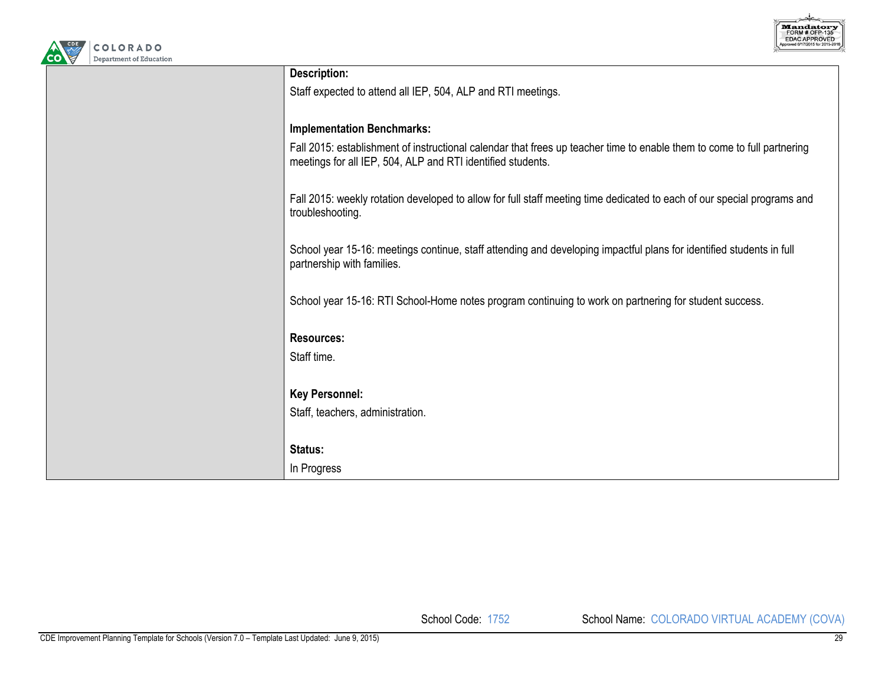



| $\sim$ | Pepartment of Ludeation |                                                                                                                                                                                        |
|--------|-------------------------|----------------------------------------------------------------------------------------------------------------------------------------------------------------------------------------|
|        |                         | <b>Description:</b>                                                                                                                                                                    |
|        |                         | Staff expected to attend all IEP, 504, ALP and RTI meetings.                                                                                                                           |
|        |                         | <b>Implementation Benchmarks:</b>                                                                                                                                                      |
|        |                         | Fall 2015: establishment of instructional calendar that frees up teacher time to enable them to come to full partnering<br>meetings for all IEP, 504, ALP and RTI identified students. |
|        |                         | Fall 2015: weekly rotation developed to allow for full staff meeting time dedicated to each of our special programs and<br>troubleshooting.                                            |
|        |                         | School year 15-16: meetings continue, staff attending and developing impactful plans for identified students in full<br>partnership with families.                                     |
|        |                         | School year 15-16: RTI School-Home notes program continuing to work on partnering for student success.                                                                                 |
|        |                         | <b>Resources:</b>                                                                                                                                                                      |
|        |                         | Staff time.                                                                                                                                                                            |
|        |                         | <b>Key Personnel:</b>                                                                                                                                                                  |
|        |                         | Staff, teachers, administration.                                                                                                                                                       |
|        |                         | Status:                                                                                                                                                                                |
|        |                         | In Progress                                                                                                                                                                            |
|        |                         |                                                                                                                                                                                        |